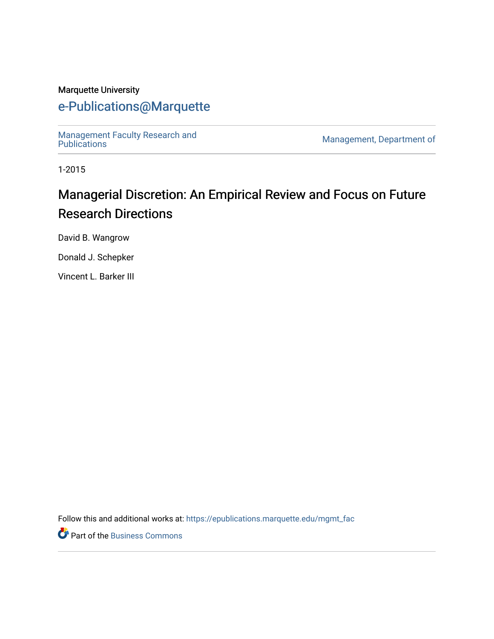#### Marquette University

## [e-Publications@Marquette](https://epublications.marquette.edu/)

Management Faculty Research and<br>Publications

Management, Department of

1-2015

# Managerial Discretion: An Empirical Review and Focus on Future Research Directions

David B. Wangrow

Donald J. Schepker

Vincent L. Barker III

Follow this and additional works at: [https://epublications.marquette.edu/mgmt\\_fac](https://epublications.marquette.edu/mgmt_fac?utm_source=epublications.marquette.edu%2Fmgmt_fac%2F326&utm_medium=PDF&utm_campaign=PDFCoverPages) 

**P** Part of the [Business Commons](http://network.bepress.com/hgg/discipline/622?utm_source=epublications.marquette.edu%2Fmgmt_fac%2F326&utm_medium=PDF&utm_campaign=PDFCoverPages)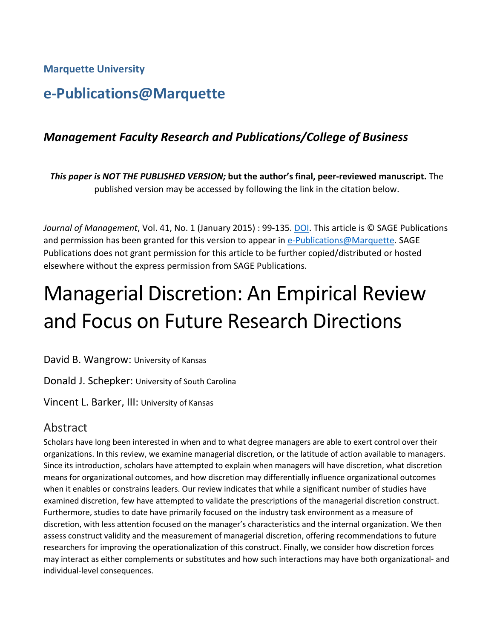**Marquette University**

# **e-Publications@Marquette**

## *Management Faculty Research and Publications/College of Business*

*This paper is NOT THE PUBLISHED VERSION;* **but the author's final, peer-reviewed manuscript.** The published version may be accessed by following the link in the citation below.

*Journal of Management*, Vol. 41, No. 1 (January 2015) : 99-135. [DOI.](https://journals.sagepub.com/doi/10.1177/0149206314554214) This article is © SAGE Publications and permission has been granted for this version to appear in [e-Publications@Marquette.](http://epublications.marquette.edu/) SAGE Publications does not grant permission for this article to be further copied/distributed or hosted elsewhere without the express permission from SAGE Publications.

# Managerial Discretion: An Empirical Review and Focus on Future Research Directions

David B. Wangrow: University of Kansas

Donald J. Schepker: University of South Carolina

Vincent L. Barker, III: University of Kansas

## Abstract

Scholars have long been interested in when and to what degree managers are able to exert control over their organizations. In this review, we examine managerial discretion, or the latitude of action available to managers. Since its introduction, scholars have attempted to explain when managers will have discretion, what discretion means for organizational outcomes, and how discretion may differentially influence organizational outcomes when it enables or constrains leaders. Our review indicates that while a significant number of studies have examined discretion, few have attempted to validate the prescriptions of the managerial discretion construct. Furthermore, studies to date have primarily focused on the industry task environment as a measure of discretion, with less attention focused on the manager's characteristics and the internal organization. We then assess construct validity and the measurement of managerial discretion, offering recommendations to future researchers for improving the operationalization of this construct. Finally, we consider how discretion forces may interact as either complements or substitutes and how such interactions may have both organizational- and individual-level consequences.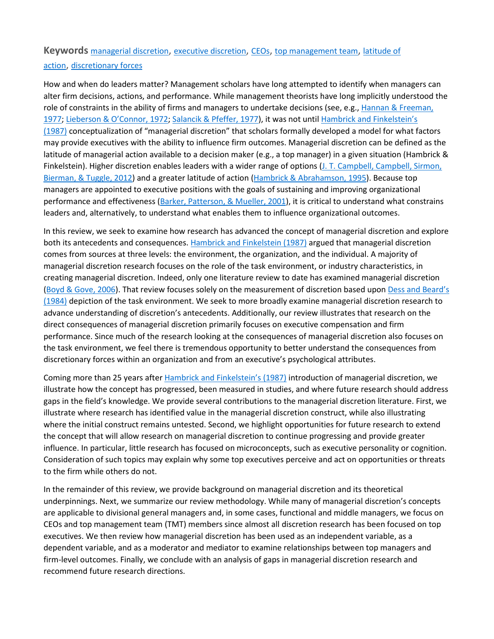#### **Keywords** [managerial discretion,](https://journals.sagepub.com/keyword/Managerial+Discretion) [executive discretion,](https://journals.sagepub.com/keyword/Executive+Discretion) [CEOs,](https://journals.sagepub.com/keyword/Ceos) [top management team,](https://journals.sagepub.com/keyword/Top+Management+Team) [latitude of](https://journals.sagepub.com/keyword/Latitude+Of+Action)  [action,](https://journals.sagepub.com/keyword/Latitude+Of+Action) [discretionary forces](https://journals.sagepub.com/keyword/Discretionary+Forces)

How and when do leaders matter? Management scholars have long attempted to identify when managers can alter firm decisions, actions, and performance. While management theorists have long implicitly understood the role of constraints in the ability of firms and managers to undertake decisions (see, e.g., [Hannan & Freeman,](https://journals.sagepub.com/doi/10.1177/0149206314554214)  [1977;](https://journals.sagepub.com/doi/10.1177/0149206314554214) [Lieberson & O'Connor, 1972;](https://journals.sagepub.com/doi/10.1177/0149206314554214) [Salancik & Pfeffer, 1977\)](https://journals.sagepub.com/doi/10.1177/0149206314554214), it was not until [Hambrick and Finkelstein's](https://journals.sagepub.com/doi/10.1177/0149206314554214)  [\(1987\)](https://journals.sagepub.com/doi/10.1177/0149206314554214) conceptualization of "managerial discretion" that scholars formally developed a model for what factors may provide executives with the ability to influence firm outcomes. Managerial discretion can be defined as the latitude of managerial action available to a decision maker (e.g., a top manager) in a given situation (Hambrick & Finkelstein). Higher discretion enables leaders with a wider range of options [\(J. T. Campbell, Campbell, Sirmon,](https://journals.sagepub.com/doi/10.1177/0149206314554214)  [Bierman, & Tuggle, 2012\)](https://journals.sagepub.com/doi/10.1177/0149206314554214) and a greater latitude of action [\(Hambrick & Abrahamson, 1995\)](https://journals.sagepub.com/doi/10.1177/0149206314554214). Because top managers are appointed to executive positions with the goals of sustaining and improving organizational performance and effectiveness [\(Barker, Patterson, & Mueller, 2001\)](https://journals.sagepub.com/doi/10.1177/0149206314554214), it is critical to understand what constrains leaders and, alternatively, to understand what enables them to influence organizational outcomes.

In this review, we seek to examine how research has advanced the concept of managerial discretion and explore both its antecedents and consequences. [Hambrick and Finkelstein \(1987\)](https://journals.sagepub.com/doi/10.1177/0149206314554214) argued that managerial discretion comes from sources at three levels: the environment, the organization, and the individual. A majority of managerial discretion research focuses on the role of the task environment, or industry characteristics, in creating managerial discretion. Indeed, only one literature review to date has examined managerial discretion [\(Boyd & Gove, 2006\)](https://journals.sagepub.com/doi/10.1177/0149206314554214). That review focuses solely on the measurement of discretion based upon [Dess and Beard's](https://journals.sagepub.com/doi/10.1177/0149206314554214)  [\(1984\)](https://journals.sagepub.com/doi/10.1177/0149206314554214) depiction of the task environment. We seek to more broadly examine managerial discretion research to advance understanding of discretion's antecedents. Additionally, our review illustrates that research on the direct consequences of managerial discretion primarily focuses on executive compensation and firm performance. Since much of the research looking at the consequences of managerial discretion also focuses on the task environment, we feel there is tremendous opportunity to better understand the consequences from discretionary forces within an organization and from an executive's psychological attributes.

Coming more than 25 years after [Hambrick and Finkelstein's \(1987\)](https://journals.sagepub.com/doi/10.1177/0149206314554214) introduction of managerial discretion, we illustrate how the concept has progressed, been measured in studies, and where future research should address gaps in the field's knowledge. We provide several contributions to the managerial discretion literature. First, we illustrate where research has identified value in the managerial discretion construct, while also illustrating where the initial construct remains untested. Second, we highlight opportunities for future research to extend the concept that will allow research on managerial discretion to continue progressing and provide greater influence. In particular, little research has focused on microconcepts, such as executive personality or cognition. Consideration of such topics may explain why some top executives perceive and act on opportunities or threats to the firm while others do not.

In the remainder of this review, we provide background on managerial discretion and its theoretical underpinnings. Next, we summarize our review methodology. While many of managerial discretion's concepts are applicable to divisional general managers and, in some cases, functional and middle managers, we focus on CEOs and top management team (TMT) members since almost all discretion research has been focused on top executives. We then review how managerial discretion has been used as an independent variable, as a dependent variable, and as a moderator and mediator to examine relationships between top managers and firm-level outcomes. Finally, we conclude with an analysis of gaps in managerial discretion research and recommend future research directions.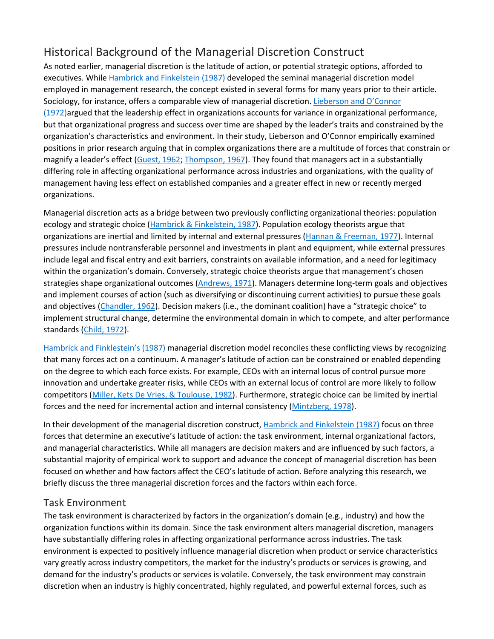## Historical Background of the Managerial Discretion Construct

As noted earlier, managerial discretion is the latitude of action, or potential strategic options, afforded to executives. While [Hambrick and Finkelstein \(1987\)](https://journals.sagepub.com/doi/10.1177/0149206314554214) developed the seminal managerial discretion model employed in management research, the concept existed in several forms for many years prior to their article. Sociology, for instance, offers a comparable view of managerial discretion. Lieberson and O'Connor [\(1972\)a](https://journals.sagepub.com/doi/10.1177/0149206314554214)rgued that the leadership effect in organizations accounts for variance in organizational performance, but that organizational progress and success over time are shaped by the leader's traits and constrained by the organization's characteristics and environment. In their study, Lieberson and O'Connor empirically examined positions in prior research arguing that in complex organizations there are a multitude of forces that constrain or magnify a leader's effect [\(Guest, 1962;](https://journals.sagepub.com/doi/10.1177/0149206314554214) [Thompson, 1967\)](https://journals.sagepub.com/doi/10.1177/0149206314554214). They found that managers act in a substantially differing role in affecting organizational performance across industries and organizations, with the quality of management having less effect on established companies and a greater effect in new or recently merged organizations.

Managerial discretion acts as a bridge between two previously conflicting organizational theories: population ecology and strategic choice [\(Hambrick & Finkelstein, 1987\)](https://journals.sagepub.com/doi/10.1177/0149206314554214). Population ecology theorists argue that organizations are inertial and limited by internal and external pressures [\(Hannan & Freeman, 1977\)](https://journals.sagepub.com/doi/10.1177/0149206314554214). Internal pressures include nontransferable personnel and investments in plant and equipment, while external pressures include legal and fiscal entry and exit barriers, constraints on available information, and a need for legitimacy within the organization's domain. Conversely, strategic choice theorists argue that management's chosen strategies shape organizational outcomes [\(Andrews, 1971\)](https://journals.sagepub.com/doi/10.1177/0149206314554214). Managers determine long-term goals and objectives and implement courses of action (such as diversifying or discontinuing current activities) to pursue these goals and objectives [\(Chandler, 1962\)](https://journals.sagepub.com/doi/10.1177/0149206314554214). Decision makers (i.e., the dominant coalition) have a "strategic choice" to implement structural change, determine the environmental domain in which to compete, and alter performance standards [\(Child, 1972\)](https://journals.sagepub.com/doi/10.1177/0149206314554214).

[Hambrick and Finklestein's \(1987\)](https://journals.sagepub.com/doi/10.1177/0149206314554214) managerial discretion model reconciles these conflicting views by recognizing that many forces act on a continuum. A manager's latitude of action can be constrained or enabled depending on the degree to which each force exists. For example, CEOs with an internal locus of control pursue more innovation and undertake greater risks, while CEOs with an external locus of control are more likely to follow competitors [\(Miller, Kets De Vries, & Toulouse, 1982\)](https://journals.sagepub.com/doi/10.1177/0149206314554214). Furthermore, strategic choice can be limited by inertial forces and the need for incremental action and internal consistency [\(Mintzberg, 1978\)](https://journals.sagepub.com/doi/10.1177/0149206314554214).

In their development of the managerial discretion construct, [Hambrick and Finkelstein \(1987\)](https://journals.sagepub.com/doi/10.1177/0149206314554214) focus on three forces that determine an executive's latitude of action: the task environment, internal organizational factors, and managerial characteristics. While all managers are decision makers and are influenced by such factors, a substantial majority of empirical work to support and advance the concept of managerial discretion has been focused on whether and how factors affect the CEO's latitude of action. Before analyzing this research, we briefly discuss the three managerial discretion forces and the factors within each force.

#### Task Environment

The task environment is characterized by factors in the organization's domain (e.g., industry) and how the organization functions within its domain. Since the task environment alters managerial discretion, managers have substantially differing roles in affecting organizational performance across industries. The task environment is expected to positively influence managerial discretion when product or service characteristics vary greatly across industry competitors, the market for the industry's products or services is growing, and demand for the industry's products or services is volatile. Conversely, the task environment may constrain discretion when an industry is highly concentrated, highly regulated, and powerful external forces, such as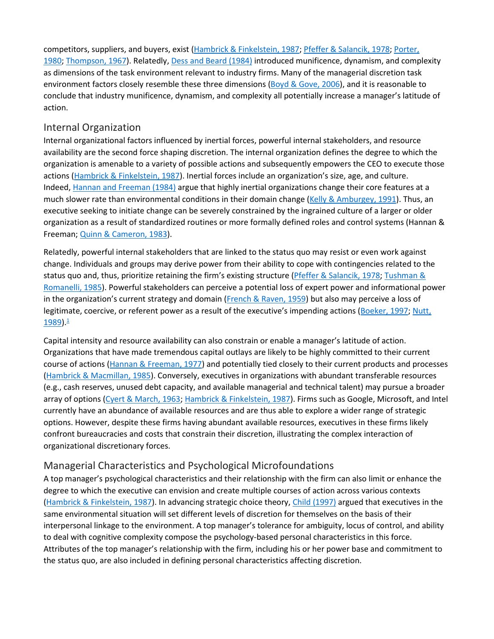competitors, suppliers, and buyers, exist [\(Hambrick & Finkelstein, 1987;](https://journals.sagepub.com/doi/10.1177/0149206314554214) [Pfeffer & Salancik, 1978;](https://journals.sagepub.com/doi/10.1177/0149206314554214) [Porter,](https://journals.sagepub.com/doi/10.1177/0149206314554214)  [1980;](https://journals.sagepub.com/doi/10.1177/0149206314554214) [Thompson, 1967\)](https://journals.sagepub.com/doi/10.1177/0149206314554214). Relatedly, [Dess and Beard \(1984\)](https://journals.sagepub.com/doi/10.1177/0149206314554214) introduced munificence, dynamism, and complexity as dimensions of the task environment relevant to industry firms. Many of the managerial discretion task environment factors closely resemble these three dimensions [\(Boyd & Gove, 2006\)](https://journals.sagepub.com/doi/10.1177/0149206314554214), and it is reasonable to conclude that industry munificence, dynamism, and complexity all potentially increase a manager's latitude of action.

#### Internal Organization

Internal organizational factors influenced by inertial forces, powerful internal stakeholders, and resource availability are the second force shaping discretion. The internal organization defines the degree to which the organization is amenable to a variety of possible actions and subsequently empowers the CEO to execute those actions [\(Hambrick & Finkelstein, 1987\)](https://journals.sagepub.com/doi/10.1177/0149206314554214). Inertial forces include an organization's size, age, and culture. Indeed, [Hannan and Freeman \(1984\)](https://journals.sagepub.com/doi/10.1177/0149206314554214) argue that highly inertial organizations change their core features at a much slower rate than environmental conditions in their domain change [\(Kelly & Amburgey, 1991\)](https://journals.sagepub.com/doi/10.1177/0149206314554214). Thus, an executive seeking to initiate change can be severely constrained by the ingrained culture of a larger or older organization as a result of standardized routines or more formally defined roles and control systems (Hannan & Freeman; [Quinn & Cameron, 1983\)](https://journals.sagepub.com/doi/10.1177/0149206314554214).

Relatedly, powerful internal stakeholders that are linked to the status quo may resist or even work against change. Individuals and groups may derive power from their ability to cope with contingencies related to the status quo and, thus, prioritize retaining the firm's existing structure [\(Pfeffer & Salancik, 1978;](https://journals.sagepub.com/doi/10.1177/0149206314554214) [Tushman &](https://journals.sagepub.com/doi/10.1177/0149206314554214)  [Romanelli, 1985\)](https://journals.sagepub.com/doi/10.1177/0149206314554214). Powerful stakeholders can perceive a potential loss of expert power and informational power in the organization's current strategy and domain [\(French & Raven, 1959\)](https://journals.sagepub.com/doi/10.1177/0149206314554214) but also may perceive a loss of legitimate, coercive, or referent power as a result of the executive's impending actions [\(Boeker, 1997;](https://journals.sagepub.com/doi/10.1177/0149206314554214) [Nutt,](https://journals.sagepub.com/doi/10.1177/0149206314554214)   $1989$ ).<sup>1</sup>

Capital intensity and resource availability can also constrain or enable a manager's latitude of action. Organizations that have made tremendous capital outlays are likely to be highly committed to their current course of actions [\(Hannan & Freeman, 1977\)](https://journals.sagepub.com/doi/10.1177/0149206314554214) and potentially tied closely to their current products and processes [\(Hambrick & Macmillan, 1985\)](https://journals.sagepub.com/doi/10.1177/0149206314554214). Conversely, executives in organizations with abundant transferable resources (e.g., cash reserves, unused debt capacity, and available managerial and technical talent) may pursue a broader array of options [\(Cyert & March, 1963;](https://journals.sagepub.com/doi/10.1177/0149206314554214) [Hambrick & Finkelstein, 1987\)](https://journals.sagepub.com/doi/10.1177/0149206314554214). Firms such as Google, Microsoft, and Intel currently have an abundance of available resources and are thus able to explore a wider range of strategic options. However, despite these firms having abundant available resources, executives in these firms likely confront bureaucracies and costs that constrain their discretion, illustrating the complex interaction of organizational discretionary forces.

#### Managerial Characteristics and Psychological Microfoundations

A top manager's psychological characteristics and their relationship with the firm can also limit or enhance the degree to which the executive can envision and create multiple courses of action across various contexts [\(Hambrick & Finkelstein, 1987\)](https://journals.sagepub.com/doi/10.1177/0149206314554214). In advancing strategic choice theory, [Child \(1997\)](https://journals.sagepub.com/doi/10.1177/0149206314554214) argued that executives in the same environmental situation will set different levels of discretion for themselves on the basis of their interpersonal linkage to the environment. A top manager's tolerance for ambiguity, locus of control, and ability to deal with cognitive complexity compose the psychology-based personal characteristics in this force. Attributes of the top manager's relationship with the firm, including his or her power base and commitment to the status quo, are also included in defining personal characteristics affecting discretion.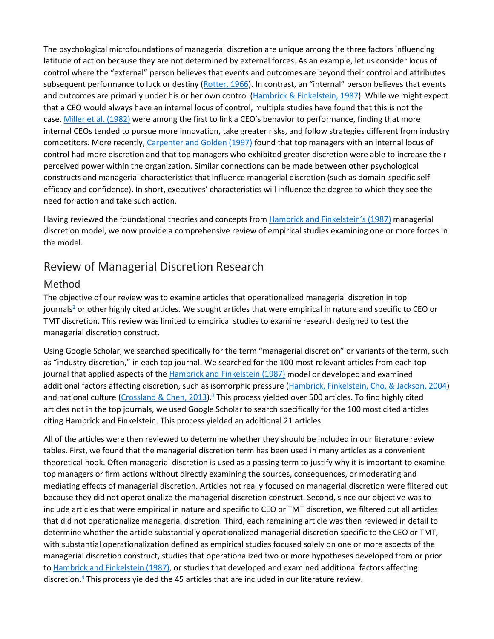The psychological microfoundations of managerial discretion are unique among the three factors influencing latitude of action because they are not determined by external forces. As an example, let us consider locus of control where the "external" person believes that events and outcomes are beyond their control and attributes subsequent performance to luck or destiny [\(Rotter, 1966\)](https://journals.sagepub.com/doi/10.1177/0149206314554214). In contrast, an "internal" person believes that events and outcomes are primarily under his or her own control [\(Hambrick & Finkelstein, 1987\)](https://journals.sagepub.com/doi/10.1177/0149206314554214). While we might expect that a CEO would always have an internal locus of control, multiple studies have found that this is not the case. [Miller et al. \(1982\)](https://journals.sagepub.com/doi/10.1177/0149206314554214) were among the first to link a CEO's behavior to performance, finding that more internal CEOs tended to pursue more innovation, take greater risks, and follow strategies different from industry competitors. More recently, [Carpenter and Golden \(1997\)](https://journals.sagepub.com/doi/10.1177/0149206314554214) found that top managers with an internal locus of control had more discretion and that top managers who exhibited greater discretion were able to increase their perceived power within the organization. Similar connections can be made between other psychological constructs and managerial characteristics that influence managerial discretion (such as domain-specific selfefficacy and confidence). In short, executives' characteristics will influence the degree to which they see the need for action and take such action.

Having reviewed the foundational theories and concepts from [Hambrick and Finkelstein's \(1987\)](https://journals.sagepub.com/doi/10.1177/0149206314554214) managerial discretion model, we now provide a comprehensive review of empirical studies examining one or more forces in the model.

## Review of Managerial Discretion Research

#### Method

The objective of our review was to examine articles that operationalized managerial discretion in top journals<sup>2</sup> or other highly cited articles. We sought articles that were empirical in nature and specific to CEO or TMT discretion. This review was limited to empirical studies to examine research designed to test the managerial discretion construct.

Using Google Scholar, we searched specifically for the term "managerial discretion" or variants of the term, such as "industry discretion," in each top journal. We searched for the 100 most relevant articles from each top journal that applied aspects of the [Hambrick and Finkelstein \(1987\)](https://journals.sagepub.com/doi/10.1177/0149206314554214) model or developed and examined additional factors affecting discretion, such as isomorphic pressure [\(Hambrick, Finkelstein, Cho, & Jackson, 2004\)](https://journals.sagepub.com/doi/10.1177/0149206314554214) and national culture [\(Crossland & Chen, 2013\)](https://journals.sagepub.com/doi/10.1177/0149206314554214).<sup>3</sup> This process yielded over 500 articles. To find highly cited articles not in the top journals, we used Google Scholar to search specifically for the 100 most cited articles citing Hambrick and Finkelstein. This process yielded an additional 21 articles.

All of the articles were then reviewed to determine whether they should be included in our literature review tables. First, we found that the managerial discretion term has been used in many articles as a convenient theoretical hook. Often managerial discretion is used as a passing term to justify why it is important to examine top managers or firm actions without directly examining the sources, consequences, or moderating and mediating effects of managerial discretion. Articles not really focused on managerial discretion were filtered out because they did not operationalize the managerial discretion construct. Second, since our objective was to include articles that were empirical in nature and specific to CEO or TMT discretion, we filtered out all articles that did not operationalize managerial discretion. Third, each remaining article was then reviewed in detail to determine whether the article substantially operationalized managerial discretion specific to the CEO or TMT, with substantial operationalization defined as empirical studies focused solely on one or more aspects of the managerial discretion construct, studies that operationalized two or more hypotheses developed from or prior to [Hambrick and Finkelstein \(1987\),](https://journals.sagepub.com/doi/10.1177/0149206314554214) or studies that developed and examined additional factors affecting discretion[.4](javascript:popRef() This process yielded the 45 articles that are included in our literature review.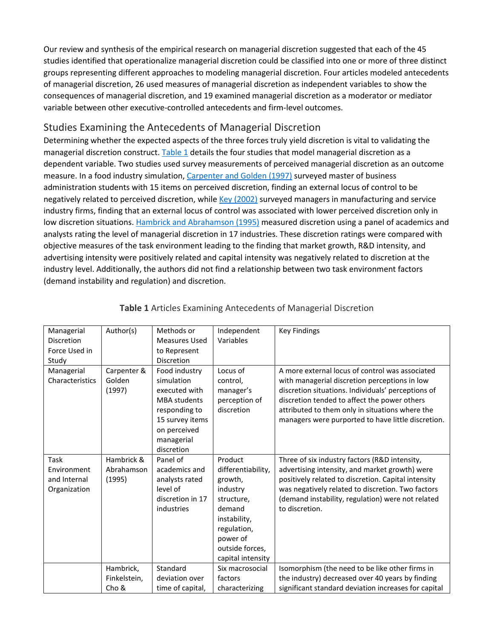Our review and synthesis of the empirical research on managerial discretion suggested that each of the 45 studies identified that operationalize managerial discretion could be classified into one or more of three distinct groups representing different approaches to modeling managerial discretion. Four articles modeled antecedents of managerial discretion, 26 used measures of managerial discretion as independent variables to show the consequences of managerial discretion, and 19 examined managerial discretion as a moderator or mediator variable between other executive-controlled antecedents and firm-level outcomes.

#### Studies Examining the Antecedents of Managerial Discretion

Determining whether the expected aspects of the three forces truly yield discretion is vital to validating the managerial discretion construct. [Table 1](https://journals.sagepub.com/doi/10.1177/0149206314554214) details the four studies that model managerial discretion as a dependent variable. Two studies used survey measurements of perceived managerial discretion as an outcome measure. In a food industry simulation, [Carpenter and Golden \(1997\)](https://journals.sagepub.com/doi/10.1177/0149206314554214) surveyed master of business administration students with 15 items on perceived discretion, finding an external locus of control to be negatively related to perceived discretion, while [Key \(2002\)](https://journals.sagepub.com/doi/10.1177/0149206314554214) surveyed managers in manufacturing and service industry firms, finding that an external locus of control was associated with lower perceived discretion only in low discretion situations. [Hambrick and Abrahamson \(1995\)](https://journals.sagepub.com/doi/10.1177/0149206314554214) measured discretion using a panel of academics and analysts rating the level of managerial discretion in 17 industries. These discretion ratings were compared with objective measures of the task environment leading to the finding that market growth, R&D intensity, and advertising intensity were positively related and capital intensity was negatively related to discretion at the industry level. Additionally, the authors did not find a relationship between two task environment factors (demand instability and regulation) and discretion.

| Managerial                                          | Author(s)                          | Methods or                                                                                                                                          | Independent                                                                                                                                                     | <b>Key Findings</b>                                                                                                                                                                                                                                                                                             |
|-----------------------------------------------------|------------------------------------|-----------------------------------------------------------------------------------------------------------------------------------------------------|-----------------------------------------------------------------------------------------------------------------------------------------------------------------|-----------------------------------------------------------------------------------------------------------------------------------------------------------------------------------------------------------------------------------------------------------------------------------------------------------------|
| Discretion                                          |                                    | <b>Measures Used</b>                                                                                                                                | Variables                                                                                                                                                       |                                                                                                                                                                                                                                                                                                                 |
| Force Used in                                       |                                    | to Represent                                                                                                                                        |                                                                                                                                                                 |                                                                                                                                                                                                                                                                                                                 |
| Study                                               |                                    | Discretion                                                                                                                                          |                                                                                                                                                                 |                                                                                                                                                                                                                                                                                                                 |
| Managerial<br>Characteristics                       | Carpenter &<br>Golden<br>(1997)    | Food industry<br>simulation<br>executed with<br><b>MBA</b> students<br>responding to<br>15 survey items<br>on perceived<br>managerial<br>discretion | Locus of<br>control,<br>manager's<br>perception of<br>discretion                                                                                                | A more external locus of control was associated<br>with managerial discretion perceptions in low<br>discretion situations. Individuals' perceptions of<br>discretion tended to affect the power others<br>attributed to them only in situations where the<br>managers were purported to have little discretion. |
| Task<br>Environment<br>and Internal<br>Organization | Hambrick &<br>Abrahamson<br>(1995) | Panel of<br>academics and<br>analysts rated<br>level of<br>discretion in 17<br>industries                                                           | Product<br>differentiability,<br>growth,<br>industry<br>structure,<br>demand<br>instability,<br>regulation,<br>power of<br>outside forces,<br>capital intensity | Three of six industry factors (R&D intensity,<br>advertising intensity, and market growth) were<br>positively related to discretion. Capital intensity<br>was negatively related to discretion. Two factors<br>(demand instability, regulation) were not related<br>to discretion.                              |
|                                                     | Hambrick,                          | Standard                                                                                                                                            | Six macrosocial                                                                                                                                                 | Isomorphism (the need to be like other firms in                                                                                                                                                                                                                                                                 |
|                                                     | Finkelstein,                       | deviation over                                                                                                                                      | factors                                                                                                                                                         | the industry) decreased over 40 years by finding                                                                                                                                                                                                                                                                |
|                                                     | Cho &                              | time of capital,                                                                                                                                    | characterizing                                                                                                                                                  | significant standard deviation increases for capital                                                                                                                                                                                                                                                            |

#### **Table 1** Articles Examining Antecedents of Managerial Discretion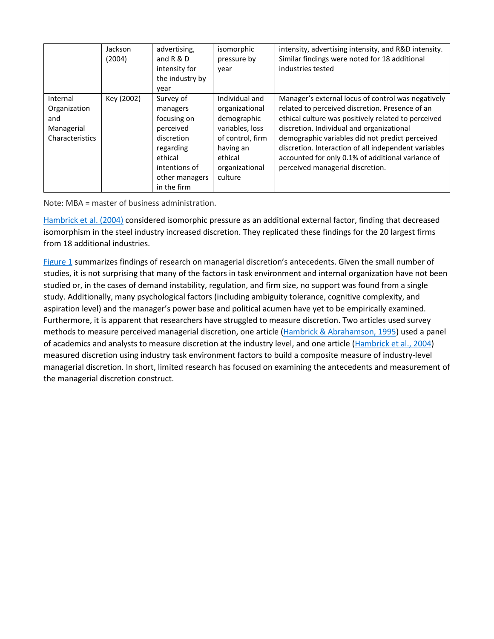|                                                                  | Jackson<br>(2004) | advertising,<br>and $R & D$<br>intensity for<br>the industry by<br>year                                                                   | isomorphic<br>pressure by<br>year                                                                                                           | intensity, advertising intensity, and R&D intensity.<br>Similar findings were noted for 18 additional<br>industries tested                                                                                                                                                                                                                                                                                    |
|------------------------------------------------------------------|-------------------|-------------------------------------------------------------------------------------------------------------------------------------------|---------------------------------------------------------------------------------------------------------------------------------------------|---------------------------------------------------------------------------------------------------------------------------------------------------------------------------------------------------------------------------------------------------------------------------------------------------------------------------------------------------------------------------------------------------------------|
| Internal<br>Organization<br>and<br>Managerial<br>Characteristics | Key (2002)        | Survey of<br>managers<br>focusing on<br>perceived<br>discretion<br>regarding<br>ethical<br>intentions of<br>other managers<br>in the firm | Individual and<br>organizational<br>demographic<br>variables, loss<br>of control, firm<br>having an<br>ethical<br>organizational<br>culture | Manager's external locus of control was negatively<br>related to perceived discretion. Presence of an<br>ethical culture was positively related to perceived<br>discretion. Individual and organizational<br>demographic variables did not predict perceived<br>discretion. Interaction of all independent variables<br>accounted for only 0.1% of additional variance of<br>perceived managerial discretion. |

Note: MBA = master of business administration.

[Hambrick et al. \(2004\)](https://journals.sagepub.com/doi/10.1177/0149206314554214) considered isomorphic pressure as an additional external factor, finding that decreased isomorphism in the steel industry increased discretion. They replicated these findings for the 20 largest firms from 18 additional industries.

[Figure 1](https://journals.sagepub.com/doi/10.1177/0149206314554214) summarizes findings of research on managerial discretion's antecedents. Given the small number of studies, it is not surprising that many of the factors in task environment and internal organization have not been studied or, in the cases of demand instability, regulation, and firm size, no support was found from a single study. Additionally, many psychological factors (including ambiguity tolerance, cognitive complexity, and aspiration level) and the manager's power base and political acumen have yet to be empirically examined. Furthermore, it is apparent that researchers have struggled to measure discretion. Two articles used survey methods to measure perceived managerial discretion, one article [\(Hambrick & Abrahamson, 1995\)](https://journals.sagepub.com/doi/10.1177/0149206314554214) used a panel of academics and analysts to measure discretion at the industry level, and one article [\(Hambrick et al., 2004\)](https://journals.sagepub.com/doi/10.1177/0149206314554214) measured discretion using industry task environment factors to build a composite measure of industry-level managerial discretion. In short, limited research has focused on examining the antecedents and measurement of the managerial discretion construct.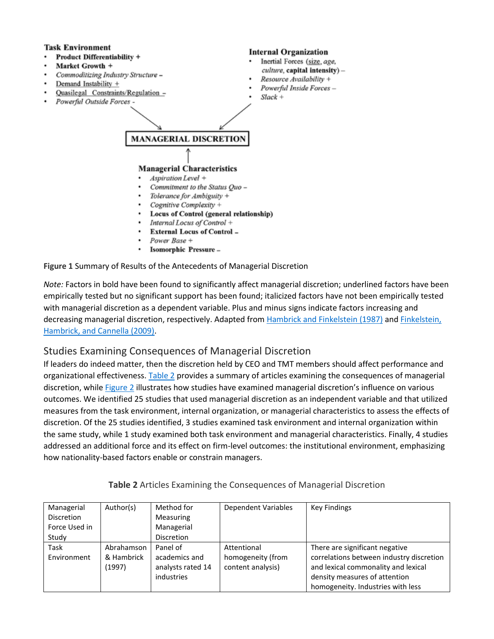#### **Task Environment**

- **Product Differentiability +** ٠
- Market Growth +
- Commoditizing Industry Structure -
- Demand Instability +
- Quasilegal Constraints/Regulation -
- Powerful Outside Forces -



- Cognitive Complexity +
- Locus of Control (general relationship)
- Internal Locus of Control +
- **External Locus of Control -**
- Power Base +
- Isomorphic Pressure -

**Figure 1** Summary of Results of the Antecedents of Managerial Discretion

*Note:* Factors in bold have been found to significantly affect managerial discretion; underlined factors have been empirically tested but no significant support has been found; italicized factors have not been empirically tested with managerial discretion as a dependent variable. Plus and minus signs indicate factors increasing and decreasing managerial discretion, respectively. Adapted from [Hambrick and Finkelstein \(1987\)](https://journals.sagepub.com/doi/10.1177/0149206314554214) and [Finkelstein,](https://journals.sagepub.com/doi/10.1177/0149206314554214)  [Hambrick, and Cannella \(2009\).](https://journals.sagepub.com/doi/10.1177/0149206314554214)

#### Studies Examining Consequences of Managerial Discretion

If leaders do indeed matter, then the discretion held by CEO and TMT members should affect performance and organizational effectiveness. [Table 2](https://journals.sagepub.com/doi/10.1177/0149206314554214) provides a summary of articles examining the consequences of managerial discretion, while [Figure 2](https://journals.sagepub.com/doi/10.1177/0149206314554214) illustrates how studies have examined managerial discretion's influence on various outcomes. We identified 25 studies that used managerial discretion as an independent variable and that utilized measures from the task environment, internal organization, or managerial characteristics to assess the effects of discretion. Of the 25 studies identified, 3 studies examined task environment and internal organization within the same study, while 1 study examined both task environment and managerial characteristics. Finally, 4 studies addressed an additional force and its effect on firm-level outcomes: the institutional environment, emphasizing how nationality-based factors enable or constrain managers.

| Table 2 Articles Examining the Consequences of Managerial Discretion |  |
|----------------------------------------------------------------------|--|
|                                                                      |  |

| Managerial        | Author(s)            | Method for                                       | <b>Dependent Variables</b>             | <b>Key Findings</b>                                                                                                                                   |
|-------------------|----------------------|--------------------------------------------------|----------------------------------------|-------------------------------------------------------------------------------------------------------------------------------------------------------|
| <b>Discretion</b> |                      | Measuring                                        |                                        |                                                                                                                                                       |
| Force Used in     |                      | Managerial                                       |                                        |                                                                                                                                                       |
| Study             |                      | <b>Discretion</b>                                |                                        |                                                                                                                                                       |
| Task              | Abrahamson           | Panel of                                         | Attentional                            | There are significant negative                                                                                                                        |
| Environment       | & Hambrick<br>(1997) | academics and<br>analysts rated 14<br>industries | homogeneity (from<br>content analysis) | correlations between industry discretion<br>and lexical commonality and lexical<br>density measures of attention<br>homogeneity. Industries with less |

#### **Internal Organization**

- Inertial Forces (size, age, culture, capital intensity) -
- Resource Availability +
- Powerful Inside Forces-
- $Slack +$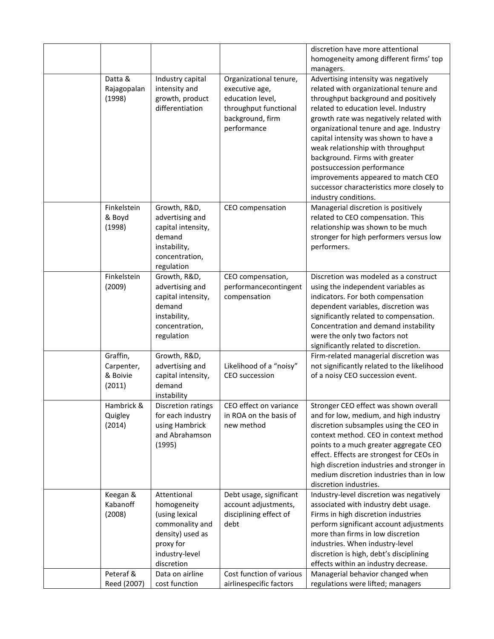|                                              |                                                                                                                                  |                                                                                                                          | discretion have more attentional<br>homogeneity among different firms' top<br>managers.                                                                                                                                                                                                                                                                                                                                                                                                                       |
|----------------------------------------------|----------------------------------------------------------------------------------------------------------------------------------|--------------------------------------------------------------------------------------------------------------------------|---------------------------------------------------------------------------------------------------------------------------------------------------------------------------------------------------------------------------------------------------------------------------------------------------------------------------------------------------------------------------------------------------------------------------------------------------------------------------------------------------------------|
| Datta &<br>Rajagopalan<br>(1998)             | Industry capital<br>intensity and<br>growth, product<br>differentiation                                                          | Organizational tenure,<br>executive age,<br>education level,<br>throughput functional<br>background, firm<br>performance | Advertising intensity was negatively<br>related with organizational tenure and<br>throughput background and positively<br>related to education level. Industry<br>growth rate was negatively related with<br>organizational tenure and age. Industry<br>capital intensity was shown to have a<br>weak relationship with throughput<br>background. Firms with greater<br>postsuccession performance<br>improvements appeared to match CEO<br>successor characteristics more closely to<br>industry conditions. |
| Finkelstein<br>& Boyd<br>(1998)              | Growth, R&D,<br>advertising and<br>capital intensity,<br>demand<br>instability,<br>concentration,<br>regulation                  | CEO compensation                                                                                                         | Managerial discretion is positively<br>related to CEO compensation. This<br>relationship was shown to be much<br>stronger for high performers versus low<br>performers.                                                                                                                                                                                                                                                                                                                                       |
| Finkelstein<br>(2009)                        | Growth, R&D,<br>advertising and<br>capital intensity,<br>demand<br>instability,<br>concentration,<br>regulation                  | CEO compensation,<br>performancecontingent<br>compensation                                                               | Discretion was modeled as a construct<br>using the independent variables as<br>indicators. For both compensation<br>dependent variables, discretion was<br>significantly related to compensation.<br>Concentration and demand instability<br>were the only two factors not<br>significantly related to discretion.                                                                                                                                                                                            |
| Graffin,<br>Carpenter,<br>& Boivie<br>(2011) | Growth, R&D,<br>advertising and<br>capital intensity,<br>demand<br>instability                                                   | Likelihood of a "noisy"<br>CEO succession                                                                                | Firm-related managerial discretion was<br>not significantly related to the likelihood<br>of a noisy CEO succession event.                                                                                                                                                                                                                                                                                                                                                                                     |
| Hambrick &<br>Quigley<br>(2014)              | Discretion ratings<br>for each industry<br>using Hambrick<br>and Abrahamson<br>(1995)                                            | CEO effect on variance<br>in ROA on the basis of<br>new method                                                           | Stronger CEO effect was shown overall<br>and for low, medium, and high industry<br>discretion subsamples using the CEO in<br>context method. CEO in context method<br>points to a much greater aggregate CEO<br>effect. Effects are strongest for CEOs in<br>high discretion industries and stronger in<br>medium discretion industries than in low<br>discretion industries.                                                                                                                                 |
| Keegan &<br>Kabanoff<br>(2008)               | Attentional<br>homogeneity<br>(using lexical<br>commonality and<br>density) used as<br>proxy for<br>industry-level<br>discretion | Debt usage, significant<br>account adjustments,<br>disciplining effect of<br>debt                                        | Industry-level discretion was negatively<br>associated with industry debt usage.<br>Firms in high discretion industries<br>perform significant account adjustments<br>more than firms in low discretion<br>industries. When industry-level<br>discretion is high, debt's disciplining<br>effects within an industry decrease.                                                                                                                                                                                 |
| Peteraf &<br>Reed (2007)                     | Data on airline<br>cost function                                                                                                 | Cost function of various<br>airlinespecific factors                                                                      | Managerial behavior changed when<br>regulations were lifted; managers                                                                                                                                                                                                                                                                                                                                                                                                                                         |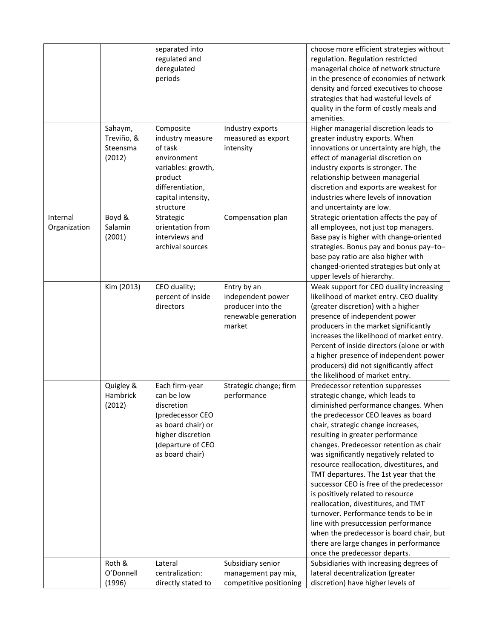|                          |                                             | separated into<br>regulated and<br>deregulated<br>periods                                                                                         |                                                                                         | choose more efficient strategies without<br>regulation. Regulation restricted<br>managerial choice of network structure<br>in the presence of economies of network<br>density and forced executives to choose<br>strategies that had wasteful levels of<br>quality in the form of costly meals and<br>amenities.                                                                                                                                                                                                                                                                                                                                                                                                                       |
|--------------------------|---------------------------------------------|---------------------------------------------------------------------------------------------------------------------------------------------------|-----------------------------------------------------------------------------------------|----------------------------------------------------------------------------------------------------------------------------------------------------------------------------------------------------------------------------------------------------------------------------------------------------------------------------------------------------------------------------------------------------------------------------------------------------------------------------------------------------------------------------------------------------------------------------------------------------------------------------------------------------------------------------------------------------------------------------------------|
|                          | Sahaym,<br>Treviño, &<br>Steensma<br>(2012) | Composite<br>industry measure<br>of task<br>environment<br>variables: growth,<br>product<br>differentiation,<br>capital intensity,<br>structure   | Industry exports<br>measured as export<br>intensity                                     | Higher managerial discretion leads to<br>greater industry exports. When<br>innovations or uncertainty are high, the<br>effect of managerial discretion on<br>industry exports is stronger. The<br>relationship between managerial<br>discretion and exports are weakest for<br>industries where levels of innovation<br>and uncertainty are low.                                                                                                                                                                                                                                                                                                                                                                                       |
| Internal<br>Organization | Boyd &<br>Salamin<br>(2001)                 | Strategic<br>orientation from<br>interviews and<br>archival sources                                                                               | Compensation plan                                                                       | Strategic orientation affects the pay of<br>all employees, not just top managers.<br>Base pay is higher with change-oriented<br>strategies. Bonus pay and bonus pay-to-<br>base pay ratio are also higher with<br>changed-oriented strategies but only at<br>upper levels of hierarchy.                                                                                                                                                                                                                                                                                                                                                                                                                                                |
|                          | Kim (2013)                                  | CEO duality;<br>percent of inside<br>directors                                                                                                    | Entry by an<br>independent power<br>producer into the<br>renewable generation<br>market | Weak support for CEO duality increasing<br>likelihood of market entry. CEO duality<br>(greater discretion) with a higher<br>presence of independent power<br>producers in the market significantly<br>increases the likelihood of market entry.<br>Percent of inside directors (alone or with<br>a higher presence of independent power<br>producers) did not significantly affect<br>the likelihood of market entry.                                                                                                                                                                                                                                                                                                                  |
|                          | Quigley &<br>Hambrick<br>(2012)             | Each firm-year<br>can be low<br>discretion<br>(predecessor CEO<br>as board chair) or<br>higher discretion<br>(departure of CEO<br>as board chair) | Strategic change; firm<br>performance                                                   | Predecessor retention suppresses<br>strategic change, which leads to<br>diminished performance changes. When<br>the predecessor CEO leaves as board<br>chair, strategic change increases,<br>resulting in greater performance<br>changes. Predecessor retention as chair<br>was significantly negatively related to<br>resource reallocation, divestitures, and<br>TMT departures. The 1st year that the<br>successor CEO is free of the predecessor<br>is positively related to resource<br>reallocation, divestitures, and TMT<br>turnover. Performance tends to be in<br>line with presuccession performance<br>when the predecessor is board chair, but<br>there are large changes in performance<br>once the predecessor departs. |
|                          | Roth &<br>O'Donnell<br>(1996)               | Lateral<br>centralization:<br>directly stated to                                                                                                  | Subsidiary senior<br>management pay mix,<br>competitive positioning                     | Subsidiaries with increasing degrees of<br>lateral decentralization (greater<br>discretion) have higher levels of                                                                                                                                                                                                                                                                                                                                                                                                                                                                                                                                                                                                                      |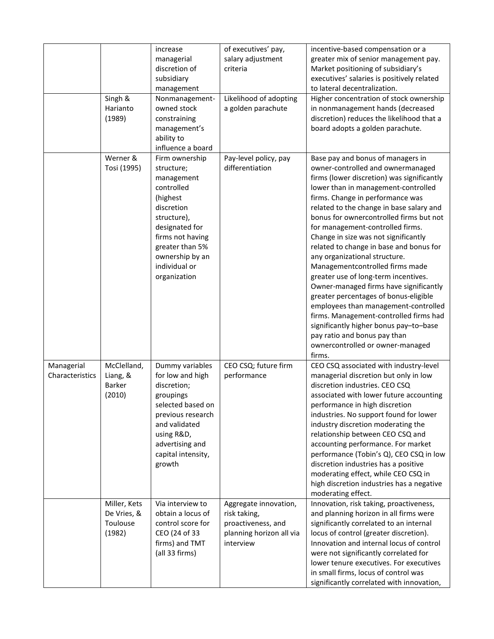|                               |                                                    | increase<br>managerial<br>discretion of<br>subsidiary<br>management                                                                                                                                            | of executives' pay,<br>salary adjustment<br>criteria                                                 | incentive-based compensation or a<br>greater mix of senior management pay.<br>Market positioning of subsidiary's<br>executives' salaries is positively related<br>to lateral decentralization.                                                                                                                                                                                                                                                                                                                                                                                                                                                                                                                                                                                                                         |
|-------------------------------|----------------------------------------------------|----------------------------------------------------------------------------------------------------------------------------------------------------------------------------------------------------------------|------------------------------------------------------------------------------------------------------|------------------------------------------------------------------------------------------------------------------------------------------------------------------------------------------------------------------------------------------------------------------------------------------------------------------------------------------------------------------------------------------------------------------------------------------------------------------------------------------------------------------------------------------------------------------------------------------------------------------------------------------------------------------------------------------------------------------------------------------------------------------------------------------------------------------------|
|                               | Singh &<br>Harianto<br>(1989)                      | Nonmanagement-<br>owned stock<br>constraining<br>management's<br>ability to<br>influence a board                                                                                                               | Likelihood of adopting<br>a golden parachute                                                         | Higher concentration of stock ownership<br>in nonmanagement hands (decreased<br>discretion) reduces the likelihood that a<br>board adopts a golden parachute.                                                                                                                                                                                                                                                                                                                                                                                                                                                                                                                                                                                                                                                          |
|                               | Werner &<br>Tosi (1995)                            | Firm ownership<br>structure;<br>management<br>controlled<br>(highest<br>discretion<br>structure),<br>designated for<br>firms not having<br>greater than 5%<br>ownership by an<br>individual or<br>organization | Pay-level policy, pay<br>differentiation                                                             | Base pay and bonus of managers in<br>owner-controlled and ownermanaged<br>firms (lower discretion) was significantly<br>lower than in management-controlled<br>firms. Change in performance was<br>related to the change in base salary and<br>bonus for ownercontrolled firms but not<br>for management-controlled firms.<br>Change in size was not significantly<br>related to change in base and bonus for<br>any organizational structure.<br>Managementcontrolled firms made<br>greater use of long-term incentives.<br>Owner-managed firms have significantly<br>greater percentages of bonus-eligible<br>employees than management-controlled<br>firms. Management-controlled firms had<br>significantly higher bonus pay-to-base<br>pay ratio and bonus pay than<br>ownercontrolled or owner-managed<br>firms. |
| Managerial<br>Characteristics | McClelland,<br>Liang, &<br><b>Barker</b><br>(2010) | Dummy variables<br>for low and high<br>discretion;<br>groupings<br>selected based on<br>previous research<br>and validated<br>using R&D,<br>advertising and<br>capital intensity,<br>growth                    | CEO CSQ; future firm<br>performance                                                                  | CEO CSQ associated with industry-level<br>managerial discretion but only in low<br>discretion industries. CEO CSQ<br>associated with lower future accounting<br>performance in high discretion<br>industries. No support found for lower<br>industry discretion moderating the<br>relationship between CEO CSQ and<br>accounting performance. For market<br>performance (Tobin's Q), CEO CSQ in low<br>discretion industries has a positive<br>moderating effect, while CEO CSQ in<br>high discretion industries has a negative<br>moderating effect.                                                                                                                                                                                                                                                                  |
|                               | Miller, Kets<br>De Vries, &<br>Toulouse<br>(1982)  | Via interview to<br>obtain a locus of<br>control score for<br>CEO (24 of 33<br>firms) and TMT<br>(all 33 firms)                                                                                                | Aggregate innovation,<br>risk taking,<br>proactiveness, and<br>planning horizon all via<br>interview | Innovation, risk taking, proactiveness,<br>and planning horizon in all firms were<br>significantly correlated to an internal<br>locus of control (greater discretion).<br>Innovation and internal locus of control<br>were not significantly correlated for<br>lower tenure executives. For executives<br>in small firms, locus of control was<br>significantly correlated with innovation,                                                                                                                                                                                                                                                                                                                                                                                                                            |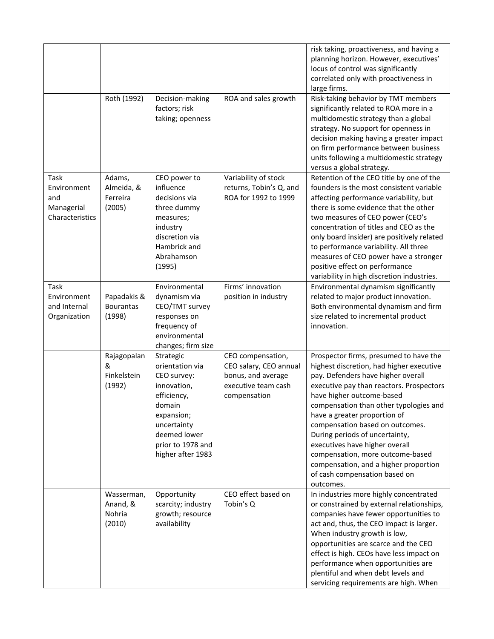|                                                             | Roth (1992)                                | Decision-making                                                                                                                                                            | ROA and sales growth                                                                                     | risk taking, proactiveness, and having a<br>planning horizon. However, executives'<br>locus of control was significantly<br>correlated only with proactiveness in<br>large firms.<br>Risk-taking behavior by TMT members                                                                                                                                                                                                                                                                                      |
|-------------------------------------------------------------|--------------------------------------------|----------------------------------------------------------------------------------------------------------------------------------------------------------------------------|----------------------------------------------------------------------------------------------------------|---------------------------------------------------------------------------------------------------------------------------------------------------------------------------------------------------------------------------------------------------------------------------------------------------------------------------------------------------------------------------------------------------------------------------------------------------------------------------------------------------------------|
|                                                             |                                            | factors; risk<br>taking; openness                                                                                                                                          |                                                                                                          | significantly related to ROA more in a<br>multidomestic strategy than a global<br>strategy. No support for openness in<br>decision making having a greater impact<br>on firm performance between business<br>units following a multidomestic strategy<br>versus a global strategy.                                                                                                                                                                                                                            |
| Task<br>Environment<br>and<br>Managerial<br>Characteristics | Adams,<br>Almeida, &<br>Ferreira<br>(2005) | CEO power to<br>influence<br>decisions via<br>three dummy<br>measures;<br>industry<br>discretion via<br>Hambrick and<br>Abrahamson<br>(1995)                               | Variability of stock<br>returns, Tobin's Q, and<br>ROA for 1992 to 1999                                  | Retention of the CEO title by one of the<br>founders is the most consistent variable<br>affecting performance variability, but<br>there is some evidence that the other<br>two measures of CEO power (CEO's<br>concentration of titles and CEO as the<br>only board insider) are positively related<br>to performance variability. All three<br>measures of CEO power have a stronger<br>positive effect on performance<br>variability in high discretion industries.                                         |
| Task<br>Environment<br>and Internal<br>Organization         | Papadakis &<br><b>Bourantas</b><br>(1998)  | Environmental<br>dynamism via<br>CEO/TMT survey<br>responses on<br>frequency of<br>environmental<br>changes; firm size                                                     | Firms' innovation<br>position in industry                                                                | Environmental dynamism significantly<br>related to major product innovation.<br>Both environmental dynamism and firm<br>size related to incremental product<br>innovation.                                                                                                                                                                                                                                                                                                                                    |
|                                                             | Rajagopalan<br>&<br>Finkelstein<br>(1992)  | Strategic<br>orientation via<br>CEO survey:<br>innovation,<br>efficiency,<br>domain<br>expansion;<br>uncertainty<br>deemed lower<br>prior to 1978 and<br>higher after 1983 | CEO compensation,<br>CEO salary, CEO annual<br>bonus, and average<br>executive team cash<br>compensation | Prospector firms, presumed to have the<br>highest discretion, had higher executive<br>pay. Defenders have higher overall<br>executive pay than reactors. Prospectors<br>have higher outcome-based<br>compensation than other typologies and<br>have a greater proportion of<br>compensation based on outcomes.<br>During periods of uncertainty,<br>executives have higher overall<br>compensation, more outcome-based<br>compensation, and a higher proportion<br>of cash compensation based on<br>outcomes. |
|                                                             | Wasserman,<br>Anand, &<br>Nohria<br>(2010) | Opportunity<br>scarcity; industry<br>growth; resource<br>availability                                                                                                      | CEO effect based on<br>Tobin's Q                                                                         | In industries more highly concentrated<br>or constrained by external relationships,<br>companies have fewer opportunities to<br>act and, thus, the CEO impact is larger.<br>When industry growth is low,<br>opportunities are scarce and the CEO<br>effect is high. CEOs have less impact on<br>performance when opportunities are<br>plentiful and when debt levels and<br>servicing requirements are high. When                                                                                             |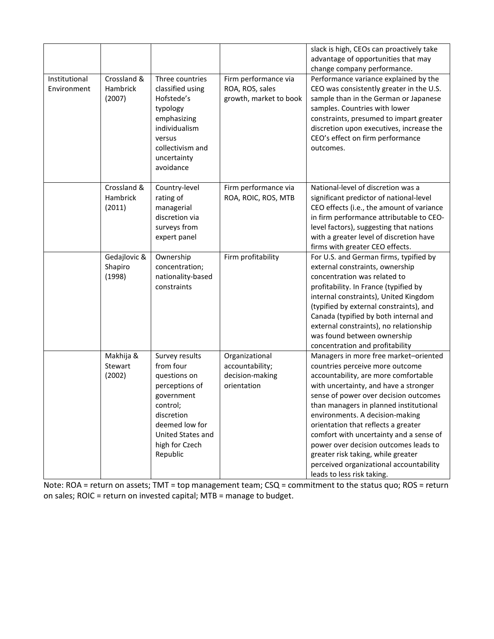|                              |                                   |                                                                                                                                                                            |                                                                     | slack is high, CEOs can proactively take<br>advantage of opportunities that may<br>change company performance.                                                                                                                                                                                                                                                                                                                                                                                                            |
|------------------------------|-----------------------------------|----------------------------------------------------------------------------------------------------------------------------------------------------------------------------|---------------------------------------------------------------------|---------------------------------------------------------------------------------------------------------------------------------------------------------------------------------------------------------------------------------------------------------------------------------------------------------------------------------------------------------------------------------------------------------------------------------------------------------------------------------------------------------------------------|
| Institutional<br>Environment | Crossland &<br>Hambrick<br>(2007) | Three countries<br>classified using<br>Hofstede's<br>typology<br>emphasizing<br>individualism<br>versus<br>collectivism and<br>uncertainty<br>avoidance                    | Firm performance via<br>ROA, ROS, sales<br>growth, market to book   | Performance variance explained by the<br>CEO was consistently greater in the U.S.<br>sample than in the German or Japanese<br>samples. Countries with lower<br>constraints, presumed to impart greater<br>discretion upon executives, increase the<br>CEO's effect on firm performance<br>outcomes.                                                                                                                                                                                                                       |
|                              | Crossland &<br>Hambrick<br>(2011) | Country-level<br>rating of<br>managerial<br>discretion via<br>surveys from<br>expert panel                                                                                 | Firm performance via<br>ROA, ROIC, ROS, MTB                         | National-level of discretion was a<br>significant predictor of national-level<br>CEO effects (i.e., the amount of variance<br>in firm performance attributable to CEO-<br>level factors), suggesting that nations<br>with a greater level of discretion have<br>firms with greater CEO effects.                                                                                                                                                                                                                           |
|                              | Gedajlovic &<br>Shapiro<br>(1998) | Ownership<br>concentration;<br>nationality-based<br>constraints                                                                                                            | Firm profitability                                                  | For U.S. and German firms, typified by<br>external constraints, ownership<br>concentration was related to<br>profitability. In France (typified by<br>internal constraints), United Kingdom<br>(typified by external constraints), and<br>Canada (typified by both internal and<br>external constraints), no relationship<br>was found between ownership<br>concentration and profitability                                                                                                                               |
|                              | Makhija &<br>Stewart<br>(2002)    | Survey results<br>from four<br>questions on<br>perceptions of<br>government<br>control;<br>discretion<br>deemed low for<br>United States and<br>high for Czech<br>Republic | Organizational<br>accountability;<br>decision-making<br>orientation | Managers in more free market-oriented<br>countries perceive more outcome<br>accountability, are more comfortable<br>with uncertainty, and have a stronger<br>sense of power over decision outcomes<br>than managers in planned institutional<br>environments. A decision-making<br>orientation that reflects a greater<br>comfort with uncertainty and a sense of<br>power over decision outcomes leads to<br>greater risk taking, while greater<br>perceived organizational accountability<br>leads to less risk taking. |

Note: ROA = return on assets; TMT = top management team; CSQ = commitment to the status quo; ROS = return on sales; ROIC = return on invested capital; MTB = manage to budget.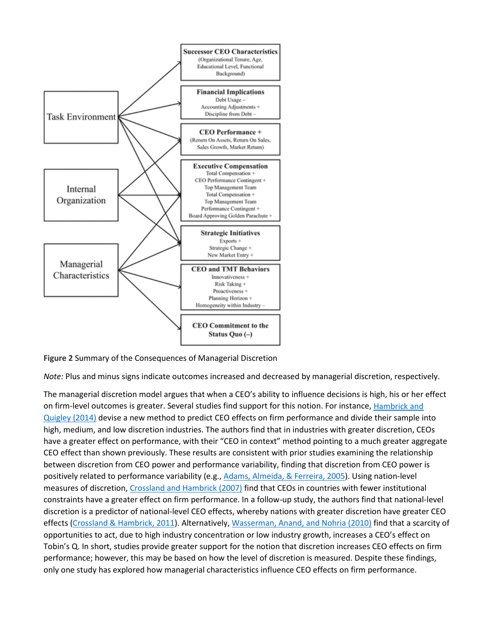

**Figure 2** Summary of the Consequences of Managerial Discretion

*Note:* Plus and minus signs indicate outcomes increased and decreased by managerial discretion, respectively.

The managerial discretion model argues that when a CEO's ability to influence decisions is high, his or her effect on firm-level outcomes is greater. Several studies find support for this notion. For instance, [Hambrick and](https://journals.sagepub.com/doi/10.1177/0149206314554214)  [Quigley \(2014\)](https://journals.sagepub.com/doi/10.1177/0149206314554214) devise a new method to predict CEO effects on firm performance and divide their sample into high, medium, and low discretion industries. The authors find that in industries with greater discretion, CEOs have a greater effect on performance, with their "CEO in context" method pointing to a much greater aggregate CEO effect than shown previously. These results are consistent with prior studies examining the relationship between discretion from CEO power and performance variability, finding that discretion from CEO power is positively related to performance variability (e.g., [Adams, Almeida, & Ferreira, 2005\)](https://journals.sagepub.com/doi/10.1177/0149206314554214). Using nation-level measures of discretion, [Crossland and Hambrick \(2007\)](https://journals.sagepub.com/doi/10.1177/0149206314554214) find that CEOs in countries with fewer institutional constraints have a greater effect on firm performance. In a follow-up study, the authors find that national-level discretion is a predictor of national-level CEO effects, whereby nations with greater discretion have greater CEO effects [\(Crossland & Hambrick, 2011\)](https://journals.sagepub.com/doi/10.1177/0149206314554214). Alternatively, [Wasserman, Anand, and Nohria \(2010\)](https://journals.sagepub.com/doi/10.1177/0149206314554214) find that a scarcity of opportunities to act, due to high industry concentration or low industry growth, increases a CEO's effect on Tobin's Q. In short, studies provide greater support for the notion that discretion increases CEO effects on firm performance; however, this may be based on how the level of discretion is measured. Despite these findings, only one study has explored how managerial characteristics influence CEO effects on firm performance.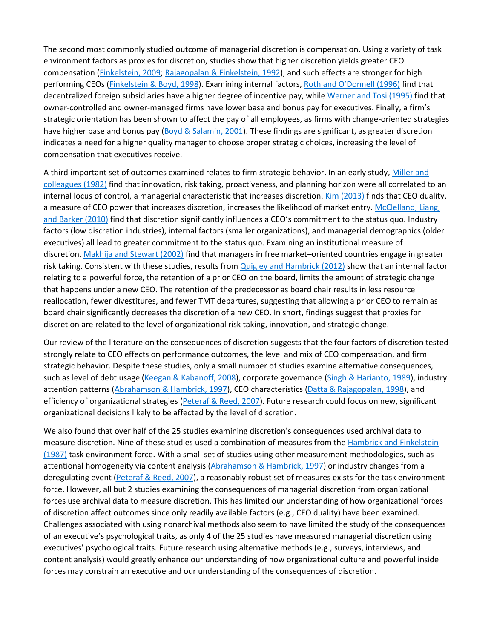The second most commonly studied outcome of managerial discretion is compensation. Using a variety of task environment factors as proxies for discretion, studies show that higher discretion yields greater CEO compensation [\(Finkelstein, 2009;](https://journals.sagepub.com/doi/10.1177/0149206314554214) [Rajagopalan & Finkelstein, 1992\)](https://journals.sagepub.com/doi/10.1177/0149206314554214), and such effects are stronger for high performing CEOs [\(Finkelstein & Boyd, 1998\)](https://journals.sagepub.com/doi/10.1177/0149206314554214). Examining internal factors, [Roth and O'Donnell \(1996\)](https://journals.sagepub.com/doi/10.1177/0149206314554214) find that decentralized foreign subsidiaries have a higher degree of incentive pay, while [Werner and Tosi \(1995\)](https://journals.sagepub.com/doi/10.1177/0149206314554214) find that owner-controlled and owner-managed firms have lower base and bonus pay for executives. Finally, a firm's strategic orientation has been shown to affect the pay of all employees, as firms with change-oriented strategies have higher base and bonus pay [\(Boyd & Salamin, 2001\)](https://journals.sagepub.com/doi/10.1177/0149206314554214). These findings are significant, as greater discretion indicates a need for a higher quality manager to choose proper strategic choices, increasing the level of compensation that executives receive.

A third important set of outcomes examined relates to firm strategic behavior. In an early study, Miller and [colleagues \(1982\)](https://journals.sagepub.com/doi/10.1177/0149206314554214) find that innovation, risk taking, proactiveness, and planning horizon were all correlated to an internal locus of control, a managerial characteristic that increases discretion. [Kim \(2013\)](https://journals.sagepub.com/doi/10.1177/0149206314554214) finds that CEO duality, a measure of CEO power that increases discretion, increases the likelihood of market entry. [McClelland, Liang,](https://journals.sagepub.com/doi/10.1177/0149206314554214)  [and Barker \(2010\)](https://journals.sagepub.com/doi/10.1177/0149206314554214) find that discretion significantly influences a CEO's commitment to the status quo. Industry factors (low discretion industries), internal factors (smaller organizations), and managerial demographics (older executives) all lead to greater commitment to the status quo. Examining an institutional measure of discretion, [Makhija and Stewart \(2002\)](https://journals.sagepub.com/doi/10.1177/0149206314554214) find that managers in free market–oriented countries engage in greater risk taking. Consistent with these studies, results from [Quigley and Hambrick \(2012\)](https://journals.sagepub.com/doi/10.1177/0149206314554214) show that an internal factor relating to a powerful force, the retention of a prior CEO on the board, limits the amount of strategic change that happens under a new CEO. The retention of the predecessor as board chair results in less resource reallocation, fewer divestitures, and fewer TMT departures, suggesting that allowing a prior CEO to remain as board chair significantly decreases the discretion of a new CEO. In short, findings suggest that proxies for discretion are related to the level of organizational risk taking, innovation, and strategic change.

Our review of the literature on the consequences of discretion suggests that the four factors of discretion tested strongly relate to CEO effects on performance outcomes, the level and mix of CEO compensation, and firm strategic behavior. Despite these studies, only a small number of studies examine alternative consequences, such as level of debt usage [\(Keegan & Kabanoff, 2008\)](https://journals.sagepub.com/doi/10.1177/0149206314554214), corporate governance [\(Singh & Harianto, 1989\)](https://journals.sagepub.com/doi/10.1177/0149206314554214), industry attention patterns [\(Abrahamson & Hambrick, 1997\)](https://journals.sagepub.com/doi/10.1177/0149206314554214), CEO characteristics [\(Datta & Rajagopalan, 1998\)](https://journals.sagepub.com/doi/10.1177/0149206314554214), and efficiency of organizational strategies [\(Peteraf & Reed, 2007\)](https://journals.sagepub.com/doi/10.1177/0149206314554214). Future research could focus on new, significant organizational decisions likely to be affected by the level of discretion.

We also found that over half of the 25 studies examining discretion's consequences used archival data to measure discretion. Nine of these studies used a combination of measures from the [Hambrick and Finkelstein](https://journals.sagepub.com/doi/10.1177/0149206314554214)  [\(1987\)](https://journals.sagepub.com/doi/10.1177/0149206314554214) task environment force. With a small set of studies using other measurement methodologies, such as attentional homogeneity via content analysis [\(Abrahamson & Hambrick, 1997\)](https://journals.sagepub.com/doi/10.1177/0149206314554214) or industry changes from a deregulating event [\(Peteraf & Reed, 2007\)](https://journals.sagepub.com/doi/10.1177/0149206314554214), a reasonably robust set of measures exists for the task environment force. However, all but 2 studies examining the consequences of managerial discretion from organizational forces use archival data to measure discretion. This has limited our understanding of how organizational forces of discretion affect outcomes since only readily available factors (e.g., CEO duality) have been examined. Challenges associated with using nonarchival methods also seem to have limited the study of the consequences of an executive's psychological traits, as only 4 of the 25 studies have measured managerial discretion using executives' psychological traits. Future research using alternative methods (e.g., surveys, interviews, and content analysis) would greatly enhance our understanding of how organizational culture and powerful inside forces may constrain an executive and our understanding of the consequences of discretion.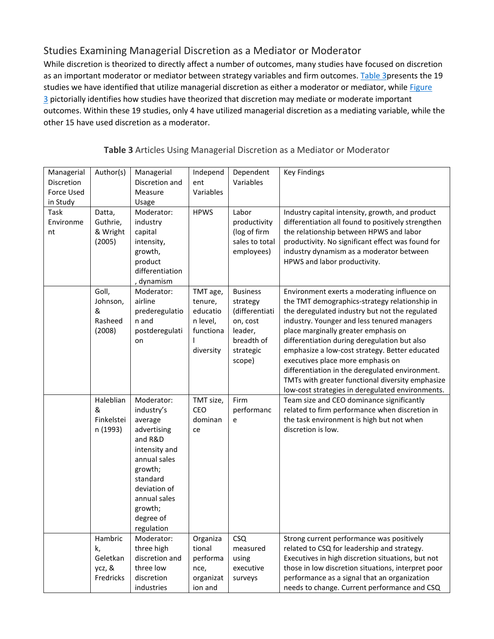## Studies Examining Managerial Discretion as a Mediator or Moderator

While discretion is theorized to directly affect a number of outcomes, many studies have focused on discretion as an important moderator or mediator between strategy variables and firm outcomes. [Table 3p](https://journals.sagepub.com/doi/10.1177/0149206314554214)resents the 19 studies we have identified that utilize managerial discretion as either a moderator or mediator, while Figure [3](https://journals.sagepub.com/doi/10.1177/0149206314554214) pictorially identifies how studies have theorized that discretion may mediate or moderate important outcomes. Within these 19 studies, only 4 have utilized managerial discretion as a mediating variable, while the other 15 have used discretion as a moderator.

| Managerial<br>Discretion<br>Force Used<br>in Study | Author(s)                                        | Managerial<br>Discretion and<br>Measure<br>Usage                                                                                                                                            | Independ<br>ent<br>Variables                                          | Dependent<br>Variables                                                                                    | <b>Key Findings</b>                                                                                                                                                                                                                                                                                                                                                                                                                                                                                                                      |
|----------------------------------------------------|--------------------------------------------------|---------------------------------------------------------------------------------------------------------------------------------------------------------------------------------------------|-----------------------------------------------------------------------|-----------------------------------------------------------------------------------------------------------|------------------------------------------------------------------------------------------------------------------------------------------------------------------------------------------------------------------------------------------------------------------------------------------------------------------------------------------------------------------------------------------------------------------------------------------------------------------------------------------------------------------------------------------|
| Task<br>Environme<br>nt                            | Datta,<br>Guthrie,<br>& Wright<br>(2005)         | Moderator:<br>industry<br>capital<br>intensity,<br>growth,<br>product<br>differentiation<br>, dynamism                                                                                      | <b>HPWS</b>                                                           | Labor<br>productivity<br>(log of firm<br>sales to total<br>employees)                                     | Industry capital intensity, growth, and product<br>differentiation all found to positively strengthen<br>the relationship between HPWS and labor<br>productivity. No significant effect was found for<br>industry dynamism as a moderator between<br>HPWS and labor productivity.                                                                                                                                                                                                                                                        |
|                                                    | Goll,<br>Johnson,<br>&<br>Rasheed<br>(2008)      | Moderator:<br>airline<br>prederegulatio<br>n and<br>postderegulati<br>on                                                                                                                    | TMT age,<br>tenure,<br>educatio<br>n level,<br>functiona<br>diversity | <b>Business</b><br>strategy<br>(differentiati<br>on, cost<br>leader,<br>breadth of<br>strategic<br>scope) | Environment exerts a moderating influence on<br>the TMT demographics-strategy relationship in<br>the deregulated industry but not the regulated<br>industry. Younger and less tenured managers<br>place marginally greater emphasis on<br>differentiation during deregulation but also<br>emphasize a low-cost strategy. Better educated<br>executives place more emphasis on<br>differentiation in the deregulated environment.<br>TMTs with greater functional diversity emphasize<br>low-cost strategies in deregulated environments. |
|                                                    | Haleblian<br>&<br>Finkelstei<br>n (1993)         | Moderator:<br>industry's<br>average<br>advertising<br>and R&D<br>intensity and<br>annual sales<br>growth;<br>standard<br>deviation of<br>annual sales<br>growth;<br>degree of<br>regulation | TMT size,<br><b>CEO</b><br>dominan<br>ce                              | Firm<br>performanc<br>e                                                                                   | Team size and CEO dominance significantly<br>related to firm performance when discretion in<br>the task environment is high but not when<br>discretion is low.                                                                                                                                                                                                                                                                                                                                                                           |
|                                                    | Hambric<br>k,<br>Geletkan<br>ycz, &<br>Fredricks | Moderator:<br>three high<br>discretion and<br>three low<br>discretion<br>industries                                                                                                         | Organiza<br>tional<br>performa<br>nce,<br>organizat<br>ion and        | <b>CSQ</b><br>measured<br>using<br>executive<br>surveys                                                   | Strong current performance was positively<br>related to CSQ for leadership and strategy.<br>Executives in high discretion situations, but not<br>those in low discretion situations, interpret poor<br>performance as a signal that an organization<br>needs to change. Current performance and CSQ                                                                                                                                                                                                                                      |

#### **Table 3** Articles Using Managerial Discretion as a Mediator or Moderator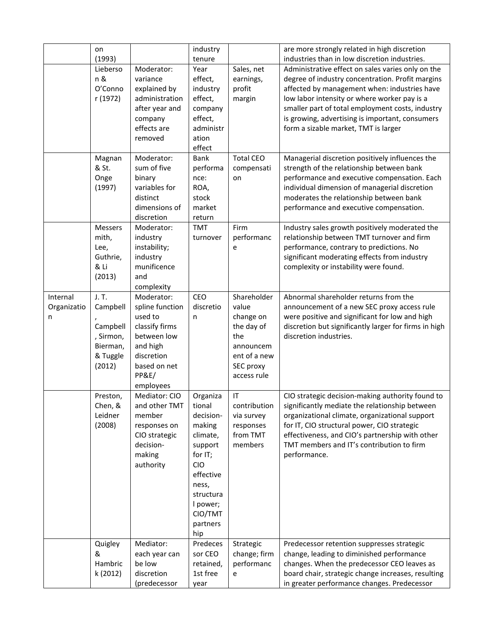|             | on<br>(1993)   |                 | industry   |                  | are more strongly related in high discretion<br>industries than in low discretion industries. |
|-------------|----------------|-----------------|------------|------------------|-----------------------------------------------------------------------------------------------|
|             |                |                 | tenure     |                  | Administrative effect on sales varies only on the                                             |
|             | Lieberso       | Moderator:      | Year       | Sales, net       |                                                                                               |
|             | n &            | variance        | effect,    | earnings,        | degree of industry concentration. Profit margins                                              |
|             | O'Conno        | explained by    | industry   | profit           | affected by management when: industries have                                                  |
|             | r (1972)       | administration  | effect,    | margin           | low labor intensity or where worker pay is a                                                  |
|             |                | after year and  | company    |                  | smaller part of total employment costs, industry                                              |
|             |                | company         | effect,    |                  | is growing, advertising is important, consumers                                               |
|             |                | effects are     | administr  |                  | form a sizable market, TMT is larger                                                          |
|             |                | removed         | ation      |                  |                                                                                               |
|             |                |                 | effect     |                  |                                                                                               |
|             | Magnan         | Moderator:      | Bank       | <b>Total CEO</b> | Managerial discretion positively influences the                                               |
|             | & St.          | sum of five     | performa   | compensati       | strength of the relationship between bank                                                     |
|             | Onge           | binary          | nce:       | on               | performance and executive compensation. Each                                                  |
|             | (1997)         | variables for   | ROA,       |                  | individual dimension of managerial discretion                                                 |
|             |                | distinct        | stock      |                  | moderates the relationship between bank                                                       |
|             |                | dimensions of   | market     |                  | performance and executive compensation.                                                       |
|             |                | discretion      | return     |                  |                                                                                               |
|             | <b>Messers</b> | Moderator:      | <b>TMT</b> | Firm             | Industry sales growth positively moderated the                                                |
|             | mith,          | industry        | turnover   | performanc       | relationship between TMT turnover and firm                                                    |
|             | Lee,           | instability;    |            | e                | performance, contrary to predictions. No                                                      |
|             | Guthrie,       | industry        |            |                  | significant moderating effects from industry                                                  |
|             | & Li           | munificence     |            |                  | complexity or instability were found.                                                         |
|             | (2013)         | and             |            |                  |                                                                                               |
|             |                | complexity      |            |                  |                                                                                               |
| Internal    | J. T.          | Moderator:      | CEO        | Shareholder      | Abnormal shareholder returns from the                                                         |
| Organizatio | Campbell       | spline function | discretio  | value            | announcement of a new SEC proxy access rule                                                   |
|             |                |                 |            |                  |                                                                                               |
| n           |                | used to         | n          | change on        | were positive and significant for low and high                                                |
|             | Campbell       | classify firms  |            | the day of       | discretion but significantly larger for firms in high                                         |
|             | , Sirmon,      | between low     |            | the              | discretion industries.                                                                        |
|             | Bierman,       | and high        |            | announcem        |                                                                                               |
|             | & Tuggle       | discretion      |            | ent of a new     |                                                                                               |
|             | (2012)         | based on net    |            | SEC proxy        |                                                                                               |
|             |                | PP&E/           |            | access rule      |                                                                                               |
|             |                | employees       |            |                  |                                                                                               |
|             | Preston,       | Mediator: CIO   | Organiza   | IT               | CIO strategic decision-making authority found to                                              |
|             | Chen, &        | and other TMT   | tional     | contribution     | significantly mediate the relationship between                                                |
|             | Leidner        | member          | decision-  | via survey       | organizational climate, organizational support                                                |
|             | (2008)         | responses on    | making     | responses        | for IT, CIO structural power, CIO strategic                                                   |
|             |                | CIO strategic   | climate,   | from TMT         | effectiveness, and CIO's partnership with other                                               |
|             |                | decision-       | support    | members          | TMT members and IT's contribution to firm                                                     |
|             |                | making          | for IT;    |                  | performance.                                                                                  |
|             |                | authority       | <b>CIO</b> |                  |                                                                                               |
|             |                |                 | effective  |                  |                                                                                               |
|             |                |                 | ness,      |                  |                                                                                               |
|             |                |                 | structura  |                  |                                                                                               |
|             |                |                 | I power;   |                  |                                                                                               |
|             |                |                 | CIO/TMT    |                  |                                                                                               |
|             |                |                 | partners   |                  |                                                                                               |
|             |                |                 | hip        |                  |                                                                                               |
|             | Quigley        | Mediator:       | Predeces   | Strategic        | Predecessor retention suppresses strategic                                                    |
|             | &              | each year can   | sor CEO    | change; firm     | change, leading to diminished performance                                                     |
|             | Hambric        | be low          | retained,  | performanc       | changes. When the predecessor CEO leaves as                                                   |
|             | k (2012)       | discretion      | 1st free   | e                | board chair, strategic change increases, resulting                                            |
|             |                | (predecessor    |            |                  | in greater performance changes. Predecessor                                                   |
|             |                |                 | year       |                  |                                                                                               |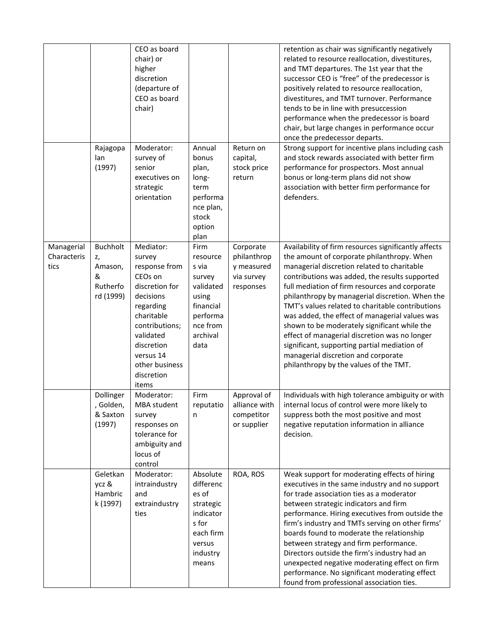|                                   |                                                                | CEO as board<br>chair) or<br>higher<br>discretion<br>(departure of<br>CEO as board<br>chair)                                                                                                                             |                                                                                                                    |                                                                   | retention as chair was significantly negatively<br>related to resource reallocation, divestitures,<br>and TMT departures. The 1st year that the<br>successor CEO is "free" of the predecessor is<br>positively related to resource reallocation,<br>divestitures, and TMT turnover. Performance<br>tends to be in line with presuccession<br>performance when the predecessor is board<br>chair, but large changes in performance occur<br>once the predecessor departs.                                                                                                                                                                         |
|-----------------------------------|----------------------------------------------------------------|--------------------------------------------------------------------------------------------------------------------------------------------------------------------------------------------------------------------------|--------------------------------------------------------------------------------------------------------------------|-------------------------------------------------------------------|--------------------------------------------------------------------------------------------------------------------------------------------------------------------------------------------------------------------------------------------------------------------------------------------------------------------------------------------------------------------------------------------------------------------------------------------------------------------------------------------------------------------------------------------------------------------------------------------------------------------------------------------------|
|                                   | Rajagopa<br>lan<br>(1997)                                      | Moderator:<br>survey of<br>senior<br>executives on<br>strategic<br>orientation                                                                                                                                           | Annual<br>bonus<br>plan,<br>long-<br>term<br>performa<br>nce plan,<br>stock<br>option<br>plan                      | Return on<br>capital,<br>stock price<br>return                    | Strong support for incentive plans including cash<br>and stock rewards associated with better firm<br>performance for prospectors. Most annual<br>bonus or long-term plans did not show<br>association with better firm performance for<br>defenders.                                                                                                                                                                                                                                                                                                                                                                                            |
| Managerial<br>Characteris<br>tics | <b>Buchholt</b><br>z,<br>Amason,<br>&<br>Rutherfo<br>rd (1999) | Mediator:<br>survey<br>response from<br>CEO <sub>s</sub> on<br>discretion for<br>decisions<br>regarding<br>charitable<br>contributions;<br>validated<br>discretion<br>versus 14<br>other business<br>discretion<br>items | Firm<br>resource<br>s via<br>survey<br>validated<br>using<br>financial<br>performa<br>nce from<br>archival<br>data | Corporate<br>philanthrop<br>y measured<br>via survey<br>responses | Availability of firm resources significantly affects<br>the amount of corporate philanthropy. When<br>managerial discretion related to charitable<br>contributions was added, the results supported<br>full mediation of firm resources and corporate<br>philanthropy by managerial discretion. When the<br>TMT's values related to charitable contributions<br>was added, the effect of managerial values was<br>shown to be moderately significant while the<br>effect of managerial discretion was no longer<br>significant, supporting partial mediation of<br>managerial discretion and corporate<br>philanthropy by the values of the TMT. |
|                                   | Dollinger<br>, Golden,<br>& Saxton<br>(1997)                   | Moderator:<br>MBA student<br>survey<br>responses on<br>tolerance for<br>ambiguity and<br>locus of<br>control                                                                                                             | Firm<br>reputatio  <br>n                                                                                           | Approval of<br>alliance with<br>competitor<br>or supplier         | Individuals with high tolerance ambiguity or with<br>internal locus of control were more likely to<br>suppress both the most positive and most<br>negative reputation information in alliance<br>decision.                                                                                                                                                                                                                                                                                                                                                                                                                                       |
|                                   | Geletkan<br>ycz &<br>Hambric<br>k (1997)                       | Moderator:<br>intraindustry<br>and<br>extraindustry<br>ties                                                                                                                                                              | Absolute<br>differenc<br>es of<br>strategic<br>indicator<br>s for<br>each firm<br>versus<br>industry<br>means      | ROA, ROS                                                          | Weak support for moderating effects of hiring<br>executives in the same industry and no support<br>for trade association ties as a moderator<br>between strategic indicators and firm<br>performance. Hiring executives from outside the<br>firm's industry and TMTs serving on other firms'<br>boards found to moderate the relationship<br>between strategy and firm performance.<br>Directors outside the firm's industry had an<br>unexpected negative moderating effect on firm<br>performance. No significant moderating effect<br>found from professional association ties.                                                               |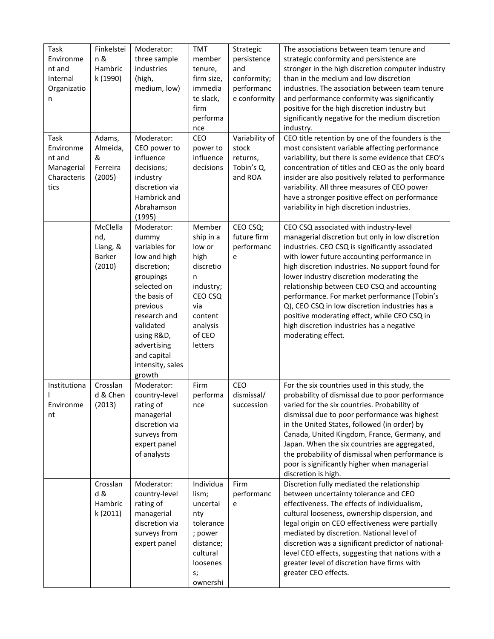| Task<br>Environme<br>nt and<br>Internal<br>Organizatio<br>n      | Finkelstei<br>n &<br>Hambric<br>k (1990)        | Moderator:<br>three sample<br>industries<br>(high,<br>medium, low)                                                                                                                                                                 | <b>TMT</b><br>member<br>tenure,<br>firm size,<br>immedia<br>te slack,<br>firm<br>performa<br>nce                                   | Strategic<br>persistence<br>and<br>conformity;<br>performanc<br>e conformity | The associations between team tenure and<br>strategic conformity and persistence are<br>stronger in the high discretion computer industry<br>than in the medium and low discretion<br>industries. The association between team tenure<br>and performance conformity was significantly<br>positive for the high discretion industry but<br>significantly negative for the medium discretion<br>industry.                                                                                                                                                          |
|------------------------------------------------------------------|-------------------------------------------------|------------------------------------------------------------------------------------------------------------------------------------------------------------------------------------------------------------------------------------|------------------------------------------------------------------------------------------------------------------------------------|------------------------------------------------------------------------------|------------------------------------------------------------------------------------------------------------------------------------------------------------------------------------------------------------------------------------------------------------------------------------------------------------------------------------------------------------------------------------------------------------------------------------------------------------------------------------------------------------------------------------------------------------------|
| Task<br>Environme<br>nt and<br>Managerial<br>Characteris<br>tics | Adams,<br>Almeida,<br>&<br>Ferreira<br>(2005)   | Moderator:<br>CEO power to<br>influence<br>decisions;<br>industry<br>discretion via<br>Hambrick and<br>Abrahamson<br>(1995)                                                                                                        | CEO<br>power to<br>influence<br>decisions                                                                                          | Variability of<br>stock<br>returns,<br>Tobin's Q,<br>and ROA                 | CEO title retention by one of the founders is the<br>most consistent variable affecting performance<br>variability, but there is some evidence that CEO's<br>concentration of titles and CEO as the only board<br>insider are also positively related to performance<br>variability. All three measures of CEO power<br>have a stronger positive effect on performance<br>variability in high discretion industries.                                                                                                                                             |
|                                                                  | McClella<br>nd,<br>Liang, &<br>Barker<br>(2010) | Moderator:<br>dummy<br>variables for<br>low and high<br>discretion;<br>groupings<br>selected on<br>the basis of<br>previous<br>research and<br>validated<br>using R&D,<br>advertising<br>and capital<br>intensity, sales<br>growth | Member<br>ship in a<br>low or<br>high<br>discretio<br>n<br>industry;<br>CEO CSQ<br>via<br>content<br>analysis<br>of CEO<br>letters | CEO CSQ;<br>future firm<br>performanc<br>e                                   | CEO CSQ associated with industry-level<br>managerial discretion but only in low discretion<br>industries. CEO CSQ is significantly associated<br>with lower future accounting performance in<br>high discretion industries. No support found for<br>lower industry discretion moderating the<br>relationship between CEO CSQ and accounting<br>performance. For market performance (Tobin's<br>Q), CEO CSQ in low discretion industries has a<br>positive moderating effect, while CEO CSQ in<br>high discretion industries has a negative<br>moderating effect. |
| Institutiona<br>Environme<br>nt                                  | Crosslan<br>d & Chen<br>(2013)                  | Moderator:<br>country-level<br>rating of<br>managerial<br>discretion via<br>surveys from<br>expert panel<br>of analysts                                                                                                            | Firm<br>performa<br>nce                                                                                                            | CEO<br>dismissal/<br>succession                                              | For the six countries used in this study, the<br>probability of dismissal due to poor performance<br>varied for the six countries. Probability of<br>dismissal due to poor performance was highest<br>in the United States, followed (in order) by<br>Canada, United Kingdom, France, Germany, and<br>Japan. When the six countries are aggregated,<br>the probability of dismissal when performance is<br>poor is significantly higher when managerial<br>discretion is high.                                                                                   |
|                                                                  | Crosslan<br>d &<br>Hambric<br>k (2011)          | Moderator:<br>country-level<br>rating of<br>managerial<br>discretion via<br>surveys from<br>expert panel                                                                                                                           | Individua<br>lism;<br>uncertai<br>nty<br>tolerance<br>; power<br>distance;<br>cultural<br>loosenes<br>s;<br>ownershi               | Firm<br>performanc<br>e                                                      | Discretion fully mediated the relationship<br>between uncertainty tolerance and CEO<br>effectiveness. The effects of individualism,<br>cultural looseness, ownership dispersion, and<br>legal origin on CEO effectiveness were partially<br>mediated by discretion. National level of<br>discretion was a significant predictor of national-<br>level CEO effects, suggesting that nations with a<br>greater level of discretion have firms with<br>greater CEO effects.                                                                                         |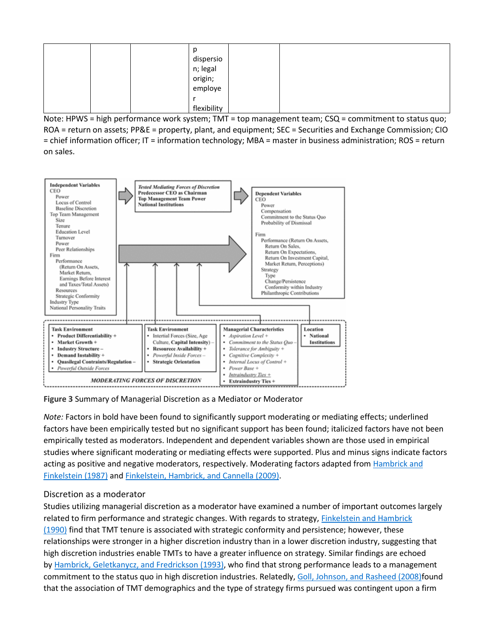|  | р           |  |  |  |
|--|-------------|--|--|--|
|  | dispersio   |  |  |  |
|  | n; legal    |  |  |  |
|  | origin;     |  |  |  |
|  | employe     |  |  |  |
|  |             |  |  |  |
|  | flexibility |  |  |  |

Note: HPWS = high performance work system; TMT = top management team; CSQ = commitment to status quo; ROA = return on assets; PP&E = property, plant, and equipment; SEC = Securities and Exchange Commission; CIO = chief information officer; IT = information technology; MBA = master in business administration; ROS = return on sales.



**Figure 3** Summary of Managerial Discretion as a Mediator or Moderator

*Note:* Factors in bold have been found to significantly support moderating or mediating effects; underlined factors have been empirically tested but no significant support has been found; italicized factors have not been empirically tested as moderators. Independent and dependent variables shown are those used in empirical studies where significant moderating or mediating effects were supported. Plus and minus signs indicate factors acting as positive and negative moderators, respectively. Moderating factors adapted from [Hambrick and](https://journals.sagepub.com/doi/10.1177/0149206314554214)  [Finkelstein \(1987\)](https://journals.sagepub.com/doi/10.1177/0149206314554214) and [Finkelstein, Hambrick, and Cannella \(2009\).](https://journals.sagepub.com/doi/10.1177/0149206314554214)

#### Discretion as a moderator

Studies utilizing managerial discretion as a moderator have examined a number of important outcomes largely related to firm performance and strategic changes. With regards to strategy, **Finkelstein and Hambrick** [\(1990\)](https://journals.sagepub.com/doi/10.1177/0149206314554214) find that TMT tenure is associated with strategic conformity and persistence; however, these relationships were stronger in a higher discretion industry than in a lower discretion industry, suggesting that high discretion industries enable TMTs to have a greater influence on strategy. Similar findings are echoed by [Hambrick, Geletkanycz, and Fredrickson \(1993\),](https://journals.sagepub.com/doi/10.1177/0149206314554214) who find that strong performance leads to a management commitment to the status quo in high discretion industries. Relatedly, [Goll, Johnson, and Rasheed \(2008\)f](https://journals.sagepub.com/doi/10.1177/0149206314554214)ound that the association of TMT demographics and the type of strategy firms pursued was contingent upon a firm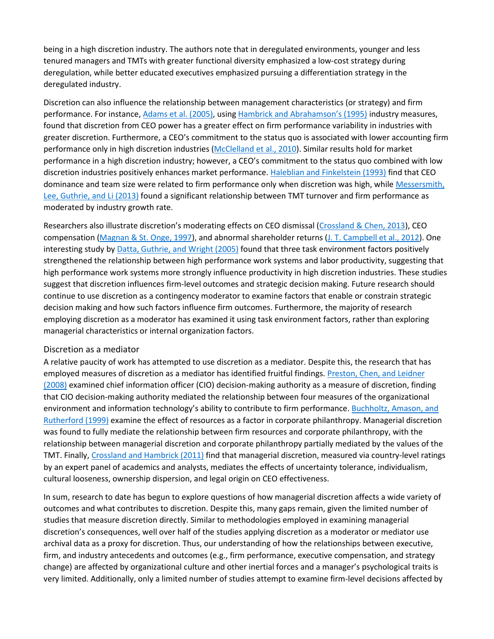being in a high discretion industry. The authors note that in deregulated environments, younger and less tenured managers and TMTs with greater functional diversity emphasized a low-cost strategy during deregulation, while better educated executives emphasized pursuing a differentiation strategy in the deregulated industry.

Discretion can also influence the relationship between management characteristics (or strategy) and firm performance. For instance, [Adams et al. \(2005\),](https://journals.sagepub.com/doi/10.1177/0149206314554214) using [Hambrick and Abrahamson's \(1995\)](https://journals.sagepub.com/doi/10.1177/0149206314554214) industry measures, found that discretion from CEO power has a greater effect on firm performance variability in industries with greater discretion. Furthermore, a CEO's commitment to the status quo is associated with lower accounting firm performance only in high discretion industries [\(McClelland et al., 2010\)](https://journals.sagepub.com/doi/10.1177/0149206314554214). Similar results hold for market performance in a high discretion industry; however, a CEO's commitment to the status quo combined with low discretion industries positively enhances market performance. [Haleblian and Finkelstein \(1993\)](https://journals.sagepub.com/doi/10.1177/0149206314554214) find that CEO dominance and team size were related to firm performance only when discretion was high, while [Messersmith,](https://journals.sagepub.com/doi/10.1177/0149206314554214)  [Lee, Guthrie, and Li \(2013\)](https://journals.sagepub.com/doi/10.1177/0149206314554214) found a significant relationship between TMT turnover and firm performance as moderated by industry growth rate.

Researchers also illustrate discretion's moderating effects on CEO dismissal [\(Crossland & Chen, 2013\)](https://journals.sagepub.com/doi/10.1177/0149206314554214), CEO compensation [\(Magnan & St. Onge, 1997\)](https://journals.sagepub.com/doi/10.1177/0149206314554214), and abnormal shareholder returns [\(J. T. Campbell et al., 2012\)](https://journals.sagepub.com/doi/10.1177/0149206314554214). One interesting study by [Datta, Guthrie, and Wright \(2005\)](https://journals.sagepub.com/doi/10.1177/0149206314554214) found that three task environment factors positively strengthened the relationship between high performance work systems and labor productivity, suggesting that high performance work systems more strongly influence productivity in high discretion industries. These studies suggest that discretion influences firm-level outcomes and strategic decision making. Future research should continue to use discretion as a contingency moderator to examine factors that enable or constrain strategic decision making and how such factors influence firm outcomes. Furthermore, the majority of research employing discretion as a moderator has examined it using task environment factors, rather than exploring managerial characteristics or internal organization factors.

#### Discretion as a mediator

A relative paucity of work has attempted to use discretion as a mediator. Despite this, the research that has employed measures of discretion as a mediator has identified fruitful findings. [Preston, Chen, and Leidner](https://journals.sagepub.com/doi/10.1177/0149206314554214)  [\(2008\)](https://journals.sagepub.com/doi/10.1177/0149206314554214) examined chief information officer (CIO) decision-making authority as a measure of discretion, finding that CIO decision-making authority mediated the relationship between four measures of the organizational environment and information technology's ability to contribute to firm performance. [Buchholtz, Amason, and](https://journals.sagepub.com/doi/10.1177/0149206314554214)  [Rutherford \(1999\)](https://journals.sagepub.com/doi/10.1177/0149206314554214) examine the effect of resources as a factor in corporate philanthropy. Managerial discretion was found to fully mediate the relationship between firm resources and corporate philanthropy, with the relationship between managerial discretion and corporate philanthropy partially mediated by the values of the TMT. Finally, [Crossland and Hambrick \(2011\)](https://journals.sagepub.com/doi/10.1177/0149206314554214) find that managerial discretion, measured via country-level ratings by an expert panel of academics and analysts, mediates the effects of uncertainty tolerance, individualism, cultural looseness, ownership dispersion, and legal origin on CEO effectiveness.

In sum, research to date has begun to explore questions of how managerial discretion affects a wide variety of outcomes and what contributes to discretion. Despite this, many gaps remain, given the limited number of studies that measure discretion directly. Similar to methodologies employed in examining managerial discretion's consequences, well over half of the studies applying discretion as a moderator or mediator use archival data as a proxy for discretion. Thus, our understanding of how the relationships between executive, firm, and industry antecedents and outcomes (e.g., firm performance, executive compensation, and strategy change) are affected by organizational culture and other inertial forces and a manager's psychological traits is very limited. Additionally, only a limited number of studies attempt to examine firm-level decisions affected by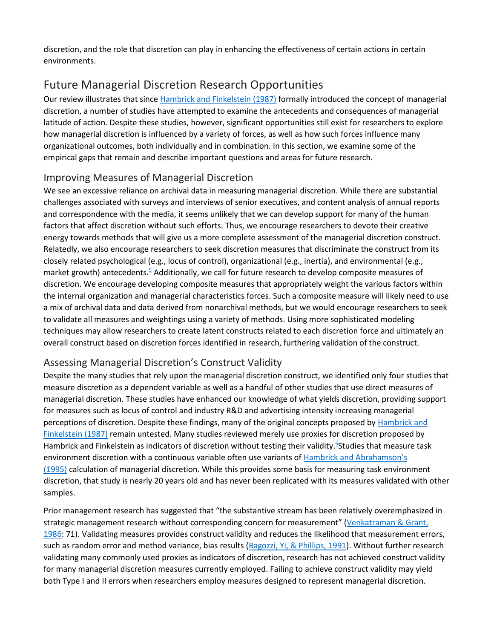discretion, and the role that discretion can play in enhancing the effectiveness of certain actions in certain environments.

# Future Managerial Discretion Research Opportunities

Our review illustrates that since Hambrick [and Finkelstein \(1987\)](https://journals.sagepub.com/doi/10.1177/0149206314554214) formally introduced the concept of managerial discretion, a number of studies have attempted to examine the antecedents and consequences of managerial latitude of action. Despite these studies, however, significant opportunities still exist for researchers to explore how managerial discretion is influenced by a variety of forces, as well as how such forces influence many organizational outcomes, both individually and in combination. In this section, we examine some of the empirical gaps that remain and describe important questions and areas for future research.

## Improving Measures of Managerial Discretion

We see an excessive reliance on archival data in measuring managerial discretion. While there are substantial challenges associated with surveys and interviews of senior executives, and content analysis of annual reports and correspondence with the media, it seems unlikely that we can develop support for many of the human factors that affect discretion without such efforts. Thus, we encourage researchers to devote their creative energy towards methods that will give us a more complete assessment of the managerial discretion construct. Relatedly, we also encourage researchers to seek discretion measures that discriminate the construct from its closely related psychological (e.g., locus of control), organizational (e.g., inertia), and environmental (e.g., market growth) antecedents.<sup>5</sup> Additionally, we call for future research to develop composite measures of discretion. We encourage developing composite measures that appropriately weight the various factors within the internal organization and managerial characteristics forces. Such a composite measure will likely need to use a mix of archival data and data derived from nonarchival methods, but we would encourage researchers to seek to validate all measures and weightings using a variety of methods. Using more sophisticated modeling techniques may allow researchers to create latent constructs related to each discretion force and ultimately an overall construct based on discretion forces identified in research, furthering validation of the construct.

## Assessing Managerial Discretion's Construct Validity

Despite the many studies that rely upon the managerial discretion construct, we identified only four studies that measure discretion as a dependent variable as well as a handful of other studies that use direct measures of managerial discretion. These studies have enhanced our knowledge of what yields discretion, providing support for measures such as locus of control and industry R&D and advertising intensity increasing managerial perceptions of discretion. Despite these findings, many of the original concepts proposed by [Hambrick and](https://journals.sagepub.com/doi/10.1177/0149206314554214)  [Finkelstein \(1987\)](https://journals.sagepub.com/doi/10.1177/0149206314554214) remain untested. Many studies reviewed merely use proxies for discretion proposed by Hambrick and Finkelstein as indicators of discretion without testing their validity.<sup>6</sup>[S](javascript:popRef()tudies that measure task environment discretion with a continuous variable often use variants of [Hambrick and Abrahamson's](https://journals.sagepub.com/doi/10.1177/0149206314554214)  [\(1995\)](https://journals.sagepub.com/doi/10.1177/0149206314554214) calculation of managerial discretion. While this provides some basis for measuring task environment discretion, that study is nearly 20 years old and has never been replicated with its measures validated with other samples.

Prior management research has suggested that "the substantive stream has been relatively overemphasized in strategic management research without corresponding concern for measurement" [\(Venkatraman & Grant,](https://journals.sagepub.com/doi/10.1177/0149206314554214) [1986:](https://journals.sagepub.com/doi/10.1177/0149206314554214) 71). Validating measures provides construct validity and reduces the likelihood that measurement errors, such as random error and method variance, bias results [\(Bagozzi, Yi, & Phillips, 1991\)](https://journals.sagepub.com/doi/10.1177/0149206314554214). Without further research validating many commonly used proxies as indicators of discretion, research has not achieved construct validity for many managerial discretion measures currently employed. Failing to achieve construct validity may yield both Type I and II errors when researchers employ measures designed to represent managerial discretion.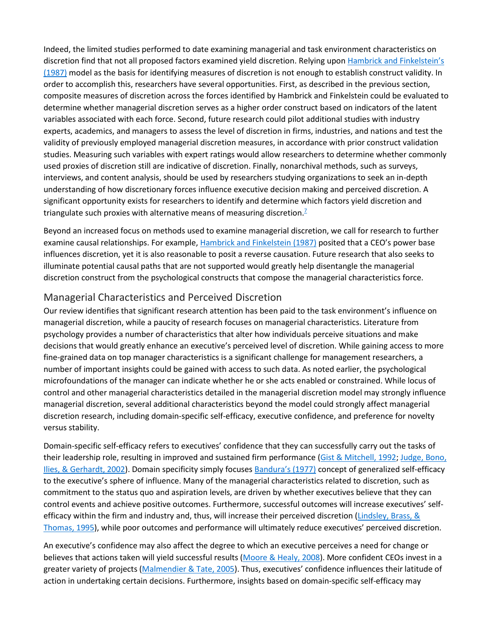Indeed, the limited studies performed to date examining managerial and task environment characteristics on discretion find that not all proposed factors examined yield discretion. Relying upon [Hambrick and Finkelstein's](https://journals.sagepub.com/doi/10.1177/0149206314554214)  [\(1987\)](https://journals.sagepub.com/doi/10.1177/0149206314554214) model as the basis for identifying measures of discretion is not enough to establish construct validity. In order to accomplish this, researchers have several opportunities. First, as described in the previous section, composite measures of discretion across the forces identified by Hambrick and Finkelstein could be evaluated to determine whether managerial discretion serves as a higher order construct based on indicators of the latent variables associated with each force. Second, future research could pilot additional studies with industry experts, academics, and managers to assess the level of discretion in firms, industries, and nations and test the validity of previously employed managerial discretion measures, in accordance with prior construct validation studies. Measuring such variables with expert ratings would allow researchers to determine whether commonly used proxies of discretion still are indicative of discretion. Finally, nonarchival methods, such as surveys, interviews, and content analysis, should be used by researchers studying organizations to seek an in-depth understanding of how discretionary forces influence executive decision making and perceived discretion. A significant opportunity exists for researchers to identify and determine which factors yield discretion and triangulate such proxies with alternative means of measuring discretion.<sup>7</sup>

Beyond an increased focus on methods used to examine managerial discretion, we call for research to further examine causal relationships. For example, [Hambrick and Finkelstein \(1987\)](https://journals.sagepub.com/doi/10.1177/0149206314554214) posited that a CEO's power base influences discretion, yet it is also reasonable to posit a reverse causation. Future research that also seeks to illuminate potential causal paths that are not supported would greatly help disentangle the managerial discretion construct from the psychological constructs that compose the managerial characteristics force.

#### Managerial Characteristics and Perceived Discretion

Our review identifies that significant research attention has been paid to the task environment's influence on managerial discretion, while a paucity of research focuses on managerial characteristics. Literature from psychology provides a number of characteristics that alter how individuals perceive situations and make decisions that would greatly enhance an executive's perceived level of discretion. While gaining access to more fine-grained data on top manager characteristics is a significant challenge for management researchers, a number of important insights could be gained with access to such data. As noted earlier, the psychological microfoundations of the manager can indicate whether he or she acts enabled or constrained. While locus of control and other managerial characteristics detailed in the managerial discretion model may strongly influence managerial discretion, several additional characteristics beyond the model could strongly affect managerial discretion research, including domain-specific self-efficacy, executive confidence, and preference for novelty versus stability.

Domain-specific self-efficacy refers to executives' confidence that they can successfully carry out the tasks of their leadership role, resulting in improved and sustained firm performance [\(Gist & Mitchell, 1992;](https://journals.sagepub.com/doi/10.1177/0149206314554214) [Judge, Bono,](https://journals.sagepub.com/doi/10.1177/0149206314554214)  [Ilies, & Gerhardt, 2002\)](https://journals.sagepub.com/doi/10.1177/0149206314554214). Domain specificity simply focuses [Bandura's \(1977\)](https://journals.sagepub.com/doi/10.1177/0149206314554214) concept of generalized self-efficacy to the executive's sphere of influence. Many of the managerial characteristics related to discretion, such as commitment to the status quo and aspiration levels, are driven by whether executives believe that they can control events and achieve positive outcomes. Furthermore, successful outcomes will increase executives' selfefficacy within the firm and industry and, thus, will increase their perceived discretion [\(Lindsley, Brass, &](https://journals.sagepub.com/doi/10.1177/0149206314554214)  [Thomas, 1995\)](https://journals.sagepub.com/doi/10.1177/0149206314554214), while poor outcomes and performance will ultimately reduce executives' perceived discretion.

An executive's confidence may also affect the degree to which an executive perceives a need for change or believes that actions taken will yield successful results [\(Moore & Healy, 2008\)](https://journals.sagepub.com/doi/10.1177/0149206314554214). More confident CEOs invest in a greater variety of projects [\(Malmendier & Tate, 2005\)](https://journals.sagepub.com/doi/10.1177/0149206314554214). Thus, executives' confidence influences their latitude of action in undertaking certain decisions. Furthermore, insights based on domain-specific self-efficacy may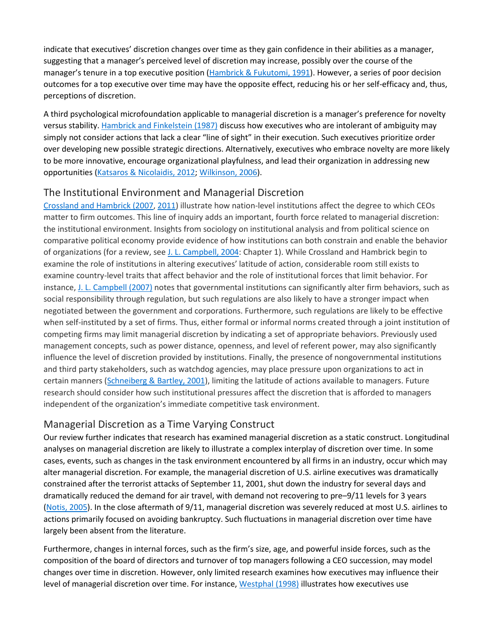indicate that executives' discretion changes over time as they gain confidence in their abilities as a manager, suggesting that a manager's perceived level of discretion may increase, possibly over the course of the manager's tenure in a top executive position [\(Hambrick & Fukutomi, 1991\)](https://journals.sagepub.com/doi/10.1177/0149206314554214). However, a series of poor decision outcomes for a top executive over time may have the opposite effect, reducing his or her self-efficacy and, thus, perceptions of discretion.

A third psychological microfoundation applicable to managerial discretion is a manager's preference for novelty versus stability. [Hambrick and Finkelstein \(1987\)](https://journals.sagepub.com/doi/10.1177/0149206314554214) discuss how executives who are intolerant of ambiguity may simply not consider actions that lack a clear "line of sight" in their execution. Such executives prioritize order over developing new possible strategic directions. Alternatively, executives who embrace novelty are more likely to be more innovative, encourage organizational playfulness, and lead their organization in addressing new opportunities [\(Katsaros & Nicolaidis, 2012;](https://journals.sagepub.com/doi/10.1177/0149206314554214) [Wilkinson, 2006\)](https://journals.sagepub.com/doi/10.1177/0149206314554214).

#### The Institutional Environment and Managerial Discretion

[Crossland and Hambrick \(2007,](https://journals.sagepub.com/doi/10.1177/0149206314554214) [2011\)](https://journals.sagepub.com/doi/10.1177/0149206314554214) illustrate how nation-level institutions affect the degree to which CEOs matter to firm outcomes. This line of inquiry adds an important, fourth force related to managerial discretion: the institutional environment. Insights from sociology on institutional analysis and from political science on comparative political economy provide evidence of how institutions can both constrain and enable the behavior of organizations (for a review, see [J. L. Campbell, 2004:](https://journals.sagepub.com/doi/10.1177/0149206314554214) Chapter 1). While Crossland and Hambrick begin to examine the role of institutions in altering executives' latitude of action, considerable room still exists to examine country-level traits that affect behavior and the role of institutional forces that limit behavior. For instance, [J. L. Campbell \(2007\)](https://journals.sagepub.com/doi/10.1177/0149206314554214) notes that governmental institutions can significantly alter firm behaviors, such as social responsibility through regulation, but such regulations are also likely to have a stronger impact when negotiated between the government and corporations. Furthermore, such regulations are likely to be effective when self-instituted by a set of firms. Thus, either formal or informal norms created through a joint institution of competing firms may limit managerial discretion by indicating a set of appropriate behaviors. Previously used management concepts, such as power distance, openness, and level of referent power, may also significantly influence the level of discretion provided by institutions. Finally, the presence of nongovernmental institutions and third party stakeholders, such as watchdog agencies, may place pressure upon organizations to act in certain manners [\(Schneiberg & Bartley, 2001\)](https://journals.sagepub.com/doi/10.1177/0149206314554214), limiting the latitude of actions available to managers. Future research should consider how such institutional pressures affect the discretion that is afforded to managers independent of the organization's immediate competitive task environment.

#### Managerial Discretion as a Time Varying Construct

Our review further indicates that research has examined managerial discretion as a static construct. Longitudinal analyses on managerial discretion are likely to illustrate a complex interplay of discretion over time. In some cases, events, such as changes in the task environment encountered by all firms in an industry, occur which may alter managerial discretion. For example, the managerial discretion of U.S. airline executives was dramatically constrained after the terrorist attacks of September 11, 2001, shut down the industry for several days and dramatically reduced the demand for air travel, with demand not recovering to pre–9/11 levels for 3 years [\(Notis,](https://journals.sagepub.com/doi/10.1177/0149206314554214) 2005). In the close aftermath of 9/11, managerial discretion was severely reduced at most U.S. airlines to actions primarily focused on avoiding bankruptcy. Such fluctuations in managerial discretion over time have largely been absent from the literature.

Furthermore, changes in internal forces, such as the firm's size, age, and powerful inside forces, such as the composition of the board of directors and turnover of top managers following a CEO succession, may model changes over time in discretion. However, only limited research examines how executives may influence their level of managerial discretion over time. For instance, [Westphal \(1998\)](https://journals.sagepub.com/doi/10.1177/0149206314554214) illustrates how executives use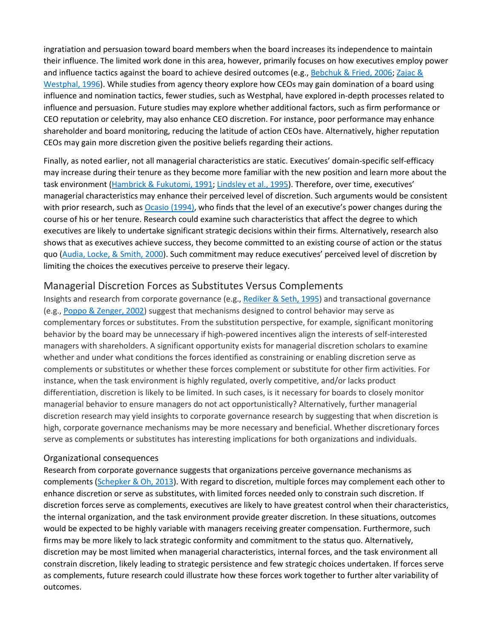ingratiation and persuasion toward board members when the board increases its independence to maintain their influence. The limited work done in this area, however, primarily focuses on how executives employ power and influence tactics against the board to achieve desired outcomes (e.g., [Bebchuk & Fried, 2006;](https://journals.sagepub.com/doi/10.1177/0149206314554214) [Zajac &](https://journals.sagepub.com/doi/10.1177/0149206314554214)  [Westphal, 1996\)](https://journals.sagepub.com/doi/10.1177/0149206314554214). While studies from agency theory explore how CEOs may gain domination of a board using influence and nomination tactics, fewer studies, such as Westphal, have explored in-depth processes related to influence and persuasion. Future studies may explore whether additional factors, such as firm performance or CEO reputation or celebrity, may also enhance CEO discretion. For instance, poor performance may enhance shareholder and board monitoring, reducing the latitude of action CEOs have. Alternatively, higher reputation CEOs may gain more discretion given the positive beliefs regarding their actions.

Finally, as noted earlier, not all managerial characteristics are static. Executives' domain-specific self-efficacy may increase during their tenure as they become more familiar with the new position and learn more about the task environment [\(Hambrick & Fukutomi, 1991;](https://journals.sagepub.com/doi/10.1177/0149206314554214) [Lindsley et al., 1995\)](https://journals.sagepub.com/doi/10.1177/0149206314554214). Therefore, over time, executives' managerial characteristics may enhance their perceived level of discretion. Such arguments would be consistent with prior research, such as [Ocasio \(1994\),](https://journals.sagepub.com/doi/10.1177/0149206314554214) who finds that the level of an executive's power changes during the course of his or her tenure. Research could examine such characteristics that affect the degree to which executives are likely to undertake significant strategic decisions within their firms. Alternatively, research also shows that as executives achieve success, they become committed to an existing course of action or the status quo [\(Audia, Locke, & Smith, 2000\)](https://journals.sagepub.com/doi/10.1177/0149206314554214). Such commitment may reduce executives' perceived level of discretion by limiting the choices the executives perceive to preserve their legacy.

#### Managerial Discretion Forces as Substitutes Versus Complements

Insights and research from corporate governance (e.g., [Rediker & Seth, 1995\)](https://journals.sagepub.com/doi/10.1177/0149206314554214) and transactional governance (e.g., [Poppo & Zenger, 2002\)](https://journals.sagepub.com/doi/10.1177/0149206314554214) suggest that mechanisms designed to control behavior may serve as complementary forces or substitutes. From the substitution perspective, for example, significant monitoring behavior by the board may be unnecessary if high-powered incentives align the interests of self-interested managers with shareholders. A significant opportunity exists for managerial discretion scholars to examine whether and under what conditions the forces identified as constraining or enabling discretion serve as complements or substitutes or whether these forces complement or substitute for other firm activities. For instance, when the task environment is highly regulated, overly competitive, and/or lacks product differentiation, discretion is likely to be limited. In such cases, is it necessary for boards to closely monitor managerial behavior to ensure managers do not act opportunistically? Alternatively, further managerial discretion research may yield insights to corporate governance research by suggesting that when discretion is high, corporate governance mechanisms may be more necessary and beneficial. Whether discretionary forces serve as complements or substitutes has interesting implications for both organizations and individuals.

#### Organizational consequences

Research from corporate governance suggests that organizations perceive governance mechanisms as complements [\(Schepker & Oh, 2013\)](https://journals.sagepub.com/doi/10.1177/0149206314554214). With regard to discretion, multiple forces may complement each other to enhance discretion or serve as substitutes, with limited forces needed only to constrain such discretion. If discretion forces serve as complements, executives are likely to have greatest control when their characteristics, the internal organization, and the task environment provide greater discretion. In these situations, outcomes would be expected to be highly variable with managers receiving greater compensation. Furthermore, such firms may be more likely to lack strategic conformity and commitment to the status quo. Alternatively, discretion may be most limited when managerial characteristics, internal forces, and the task environment all constrain discretion, likely leading to strategic persistence and few strategic choices undertaken. If forces serve as complements, future research could illustrate how these forces work together to further alter variability of outcomes.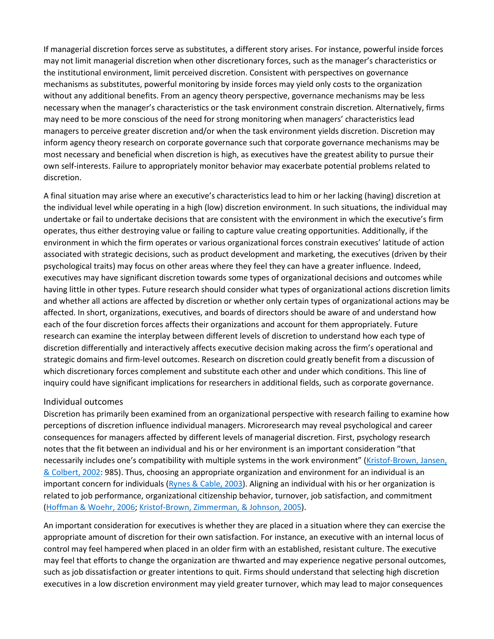If managerial discretion forces serve as substitutes, a different story arises. For instance, powerful inside forces may not limit managerial discretion when other discretionary forces, such as the manager's characteristics or the institutional environment, limit perceived discretion. Consistent with perspectives on governance mechanisms as substitutes, powerful monitoring by inside forces may yield only costs to the organization without any additional benefits. From an agency theory perspective, governance mechanisms may be less necessary when the manager's characteristics or the task environment constrain discretion. Alternatively, firms may need to be more conscious of the need for strong monitoring when managers' characteristics lead managers to perceive greater discretion and/or when the task environment yields discretion. Discretion may inform agency theory research on corporate governance such that corporate governance mechanisms may be most necessary and beneficial when discretion is high, as executives have the greatest ability to pursue their own self-interests. Failure to appropriately monitor behavior may exacerbate potential problems related to discretion.

A final situation may arise where an executive's characteristics lead to him or her lacking (having) discretion at the individual level while operating in a high (low) discretion environment. In such situations, the individual may undertake or fail to undertake decisions that are consistent with the environment in which the executive's firm operates, thus either destroying value or failing to capture value creating opportunities. Additionally, if the environment in which the firm operates or various organizational forces constrain executives' latitude of action associated with strategic decisions, such as product development and marketing, the executives (driven by their psychological traits) may focus on other areas where they feel they can have a greater influence. Indeed, executives may have significant discretion towards some types of organizational decisions and outcomes while having little in other types. Future research should consider what types of organizational actions discretion limits and whether all actions are affected by discretion or whether only certain types of organizational actions may be affected. In short, organizations, executives, and boards of directors should be aware of and understand how each of the four discretion forces affects their organizations and account for them appropriately. Future research can examine the interplay between different levels of discretion to understand how each type of discretion differentially and interactively affects executive decision making across the firm's operational and strategic domains and firm-level outcomes. Research on discretion could greatly benefit from a discussion of which discretionary forces complement and substitute each other and under which conditions. This line of inquiry could have significant implications for researchers in additional fields, such as corporate governance.

#### Individual outcomes

Discretion has primarily been examined from an organizational perspective with research failing to examine how perceptions of discretion influence individual managers. Microresearch may reveal psychological and career consequences for managers affected by different levels of managerial discretion. First, psychology research notes that the fit between an individual and his or her environment is an important consideration "that necessarily includes one's compatibility with multiple systems in the work environment" (Kristof-Brown, Jansen, [& Colbert, 2002:](https://journals.sagepub.com/doi/10.1177/0149206314554214) 985). Thus, choosing an appropriate organization and environment for an individual is an important concern for individuals [\(Rynes & Cable, 2003\)](https://journals.sagepub.com/doi/10.1177/0149206314554214). Aligning an individual with his or her organization is related to job performance, organizational citizenship behavior, turnover, job satisfaction, and commitment [\(Hoffman & Woehr, 2006;](https://journals.sagepub.com/doi/10.1177/0149206314554214) [Kristof-Brown, Zimmerman, & Johnson, 2005\)](https://journals.sagepub.com/doi/10.1177/0149206314554214).

An important consideration for executives is whether they are placed in a situation where they can exercise the appropriate amount of discretion for their own satisfaction. For instance, an executive with an internal locus of control may feel hampered when placed in an older firm with an established, resistant culture. The executive may feel that efforts to change the organization are thwarted and may experience negative personal outcomes, such as job dissatisfaction or greater intentions to quit. Firms should understand that selecting high discretion executives in a low discretion environment may yield greater turnover, which may lead to major consequences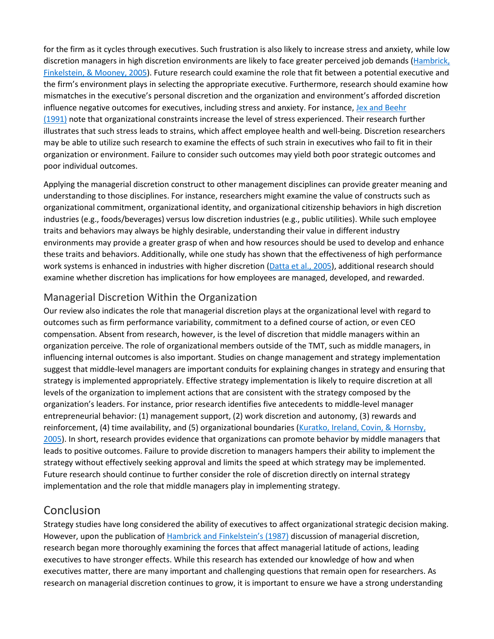for the firm as it cycles through executives. Such frustration is also likely to increase stress and anxiety, while low discretion managers in high discretion environments are likely to face greater perceived job demands [\(Hambrick,](https://journals.sagepub.com/doi/10.1177/0149206314554214)  [Finkelstein, & Mooney, 2005\)](https://journals.sagepub.com/doi/10.1177/0149206314554214). Future research could examine the role that fit between a potential executive and the firm's environment plays in selecting the appropriate executive. Furthermore, research should examine how mismatches in the executive's personal discretion and the organization and environment's afforded discretion influence negative outcomes for executives, including stress and anxiety. For instance, Jex and Beehr [\(1991\)](https://journals.sagepub.com/doi/10.1177/0149206314554214) note that organizational constraints increase the level of stress experienced. Their research further illustrates that such stress leads to strains, which affect employee health and well-being. Discretion researchers may be able to utilize such research to examine the effects of such strain in executives who fail to fit in their organization or environment. Failure to consider such outcomes may yield both poor strategic outcomes and poor individual outcomes.

Applying the managerial discretion construct to other management disciplines can provide greater meaning and understanding to those disciplines. For instance, researchers might examine the value of constructs such as organizational commitment, organizational identity, and organizational citizenship behaviors in high discretion industries (e.g., foods/beverages) versus low discretion industries (e.g., public utilities). While such employee traits and behaviors may always be highly desirable, understanding their value in different industry environments may provide a greater grasp of when and how resources should be used to develop and enhance these traits and behaviors. Additionally, while one study has shown that the effectiveness of high performance work systems is enhanced in industries with higher discretion [\(Datta et al., 2005\)](https://journals.sagepub.com/doi/10.1177/0149206314554214), additional research should examine whether discretion has implications for how employees are managed, developed, and rewarded.

### Managerial Discretion Within the Organization

Our review also indicates the role that managerial discretion plays at the organizational level with regard to outcomes such as firm performance variability, commitment to a defined course of action, or even CEO compensation. Absent from research, however, is the level of discretion that middle managers within an organization perceive. The role of organizational members outside of the TMT, such as middle managers, in influencing internal outcomes is also important. Studies on change management and strategy implementation suggest that middle-level managers are important conduits for explaining changes in strategy and ensuring that strategy is implemented appropriately. Effective strategy implementation is likely to require discretion at all levels of the organization to implement actions that are consistent with the strategy composed by the organization's leaders. For instance, prior research identifies five antecedents to middle-level manager entrepreneurial behavior: (1) management support, (2) work discretion and autonomy, (3) rewards and reinforcement, (4) time availability, and (5) organizational boundaries [\(Kuratko, Ireland, Covin, & Hornsby,](https://journals.sagepub.com/doi/10.1177/0149206314554214)  [2005\)](https://journals.sagepub.com/doi/10.1177/0149206314554214). In short, research provides evidence that organizations can promote behavior by middle managers that leads to positive outcomes. Failure to provide discretion to managers hampers their ability to implement the strategy without effectively seeking approval and limits the speed at which strategy may be implemented. Future research should continue to further consider the role of discretion directly on internal strategy implementation and the role that middle managers play in implementing strategy.

## Conclusion

Strategy studies have long considered the ability of executives to affect organizational strategic decision making. However, upon the publication of [Hambrick and Finkelstein's \(1987\)](https://journals.sagepub.com/doi/10.1177/0149206314554214) discussion of managerial discretion, research began more thoroughly examining the forces that affect managerial latitude of actions, leading executives to have stronger effects. While this research has extended our knowledge of how and when executives matter, there are many important and challenging questions that remain open for researchers. As research on managerial discretion continues to grow, it is important to ensure we have a strong understanding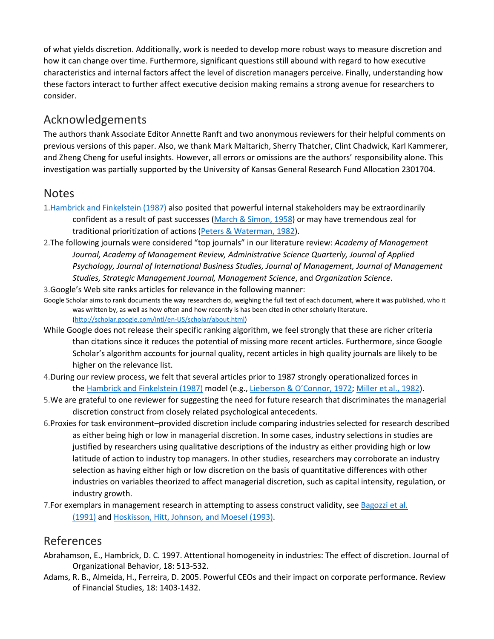of what yields discretion. Additionally, work is needed to develop more robust ways to measure discretion and how it can change over time. Furthermore, significant questions still abound with regard to how executive characteristics and internal factors affect the level of discretion managers perceive. Finally, understanding how these factors interact to further affect executive decision making remains a strong avenue for researchers to consider.

## Acknowledgements

The authors thank Associate Editor Annette Ranft and two anonymous reviewers for their helpful comments on previous versions of this paper. Also, we thank Mark Maltarich, Sherry Thatcher, Clint Chadwick, Karl Kammerer, and Zheng Cheng for useful insights. However, all errors or omissions are the authors' responsibility alone. This investigation was partially supported by the University of Kansas General Research Fund Allocation 2301704.

## Notes

- 1. Hambrick and Finkelstein (1987) also posited that powerful internal stakeholders may be extraordinarily confident as a result of past successes [\(March & Simon, 1958\)](https://journals.sagepub.com/doi/10.1177/0149206314554214) or may have tremendous zeal for traditional prioritization of actions [\(Peters & Waterman, 1982\)](https://journals.sagepub.com/doi/10.1177/0149206314554214).
- 2.The following journals were considered "top journals" in our literature review: *Academy of Management Journal, Academy of Management Review, Administrative Science Quarterly, Journal of Applied Psychology, Journal of International Business Studies, Journal of Management, Journal of Management Studies, Strategic Management Journal, Management Science*, and *Organization Science*.
- 3.Google's Web site ranks articles for relevance in the following manner:
- Google Scholar aims to rank documents the way researchers do, weighing the full text of each document, where it was published, who it was written by, as well as how often and how recently is has been cited in other scholarly literature. [\(http://scholar.google.com/intl/en-US/scholar/about.html\)](http://scholar.google.com/intl/en-US/scholar/about.html)
- While Google does not release their specific ranking algorithm, we feel strongly that these are richer criteria than citations since it reduces the potential of missing more recent articles. Furthermore, since Google Scholar's algorithm accounts for journal quality, recent articles in high quality journals are likely to be higher on the relevance list.
- 4.During our review process, we felt that several articles prior to 1987 strongly operationalized forces in the [Hambrick and Finkelstein \(1987\)](https://journals.sagepub.com/doi/10.1177/0149206314554214) model (e.g., [Lieberson & O'Connor, 1972;](https://journals.sagepub.com/doi/10.1177/0149206314554214) [Miller et al., 1982\)](https://journals.sagepub.com/doi/10.1177/0149206314554214).
- 5.We are grateful to one reviewer for suggesting the need for future research that discriminates the managerial discretion construct from closely related psychological antecedents.
- 6.Proxies for task environment–provided discretion include comparing industries selected for research described as either being high or low in managerial discretion. In some cases, industry selections in studies are justified by researchers using qualitative descriptions of the industry as either providing high or low latitude of action to industry top managers. In other studies, researchers may corroborate an industry selection as having either high or low discretion on the basis of quantitative differences with other industries on variables theorized to affect managerial discretion, such as capital intensity, regulation, or industry growth.
- 7. For exemplars in management research in attempting to assess construct validity, see Bagozzi et al. [\(1991\)](https://journals.sagepub.com/doi/10.1177/0149206314554214) and [Hoskisson, Hitt, Johnson, and Moesel \(1993\).](https://journals.sagepub.com/doi/10.1177/0149206314554214)

## References

- Abrahamson, E., Hambrick, D. C. 1997. Attentional homogeneity in industries: The effect of discretion. Journal of Organizational Behavior, 18: 513-532.
- Adams, R. B., Almeida, H., Ferreira, D. 2005. Powerful CEOs and their impact on corporate performance. Review of Financial Studies, 18: 1403-1432.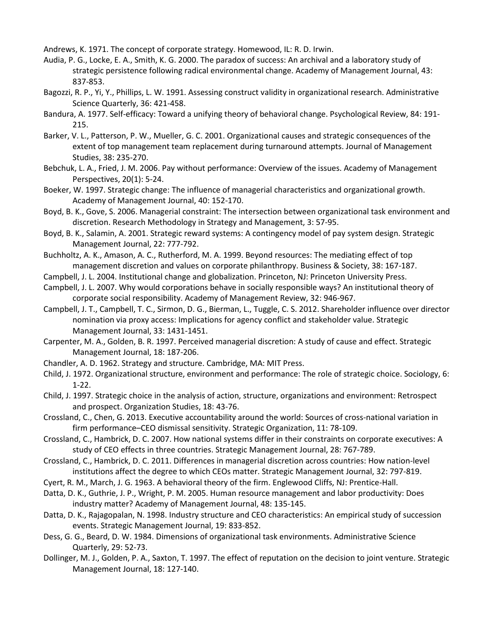Andrews, K. 1971. The concept of corporate strategy. Homewood, IL: R. D. Irwin.

- Audia, P. G., Locke, E. A., Smith, K. G. 2000. The paradox of success: An archival and a laboratory study of strategic persistence following radical environmental change. Academy of Management Journal, 43: 837-853.
- Bagozzi, R. P., Yi, Y., Phillips, L. W. 1991. Assessing construct validity in organizational research. Administrative Science Quarterly, 36: 421-458.
- Bandura, A. 1977. Self-efficacy: Toward a unifying theory of behavioral change. Psychological Review, 84: 191- 215.
- Barker, V. L., Patterson, P. W., Mueller, G. C. 2001. Organizational causes and strategic consequences of the extent of top management team replacement during turnaround attempts. Journal of Management Studies, 38: 235-270.
- Bebchuk, L. A., Fried, J. M. 2006. Pay without performance: Overview of the issues. Academy of Management Perspectives, 20(1): 5-24.
- Boeker, W. 1997. Strategic change: The influence of managerial characteristics and organizational growth. Academy of Management Journal, 40: 152-170.
- Boyd, B. K., Gove, S. 2006. Managerial constraint: The intersection between organizational task environment and discretion. Research Methodology in Strategy and Management, 3: 57-95.
- Boyd, B. K., Salamin, A. 2001. Strategic reward systems: A contingency model of pay system design. Strategic Management Journal, 22: 777-792.
- Buchholtz, A. K., Amason, A. C., Rutherford, M. A. 1999. Beyond resources: The mediating effect of top management discretion and values on corporate philanthropy. Business & Society, 38: 167-187.
- Campbell, J. L. 2004. Institutional change and globalization. Princeton, NJ: Princeton University Press.
- Campbell, J. L. 2007. Why would corporations behave in socially responsible ways? An institutional theory of corporate social responsibility. Academy of Management Review, 32: 946-967.
- Campbell, J. T., Campbell, T. C., Sirmon, D. G., Bierman, L., Tuggle, C. S. 2012. Shareholder influence over director nomination via proxy access: Implications for agency conflict and stakeholder value. Strategic Management Journal, 33: 1431-1451.
- Carpenter, M. A., Golden, B. R. 1997. Perceived managerial discretion: A study of cause and effect. Strategic Management Journal, 18: 187-206.
- Chandler, A. D. 1962. Strategy and structure. Cambridge, MA: MIT Press.
- Child, J. 1972. Organizational structure, environment and performance: The role of strategic choice. Sociology, 6: 1-22.
- Child, J. 1997. Strategic choice in the analysis of action, structure, organizations and environment: Retrospect and prospect. Organization Studies, 18: 43-76.
- Crossland, C., Chen, G. 2013. Executive accountability around the world: Sources of cross-national variation in firm performance–CEO dismissal sensitivity. Strategic Organization, 11: 78-109.
- Crossland, C., Hambrick, D. C. 2007. How national systems differ in their constraints on corporate executives: A study of CEO effects in three countries. Strategic Management Journal, 28: 767-789.
- Crossland, C., Hambrick, D. C. 2011. Differences in managerial discretion across countries: How nation-level institutions affect the degree to which CEOs matter. Strategic Management Journal, 32: 797-819.
- Cyert, R. M., March, J. G. 1963. A behavioral theory of the firm. Englewood Cliffs, NJ: Prentice-Hall.
- Datta, D. K., Guthrie, J. P., Wright, P. M. 2005. Human resource management and labor productivity: Does industry matter? Academy of Management Journal, 48: 135-145.
- Datta, D. K., Rajagopalan, N. 1998. Industry structure and CEO characteristics: An empirical study of succession events. Strategic Management Journal, 19: 833-852.
- Dess, G. G., Beard, D. W. 1984. Dimensions of organizational task environments. Administrative Science Quarterly, 29: 52-73.
- Dollinger, M. J., Golden, P. A., Saxton, T. 1997. The effect of reputation on the decision to joint venture. Strategic Management Journal, 18: 127-140.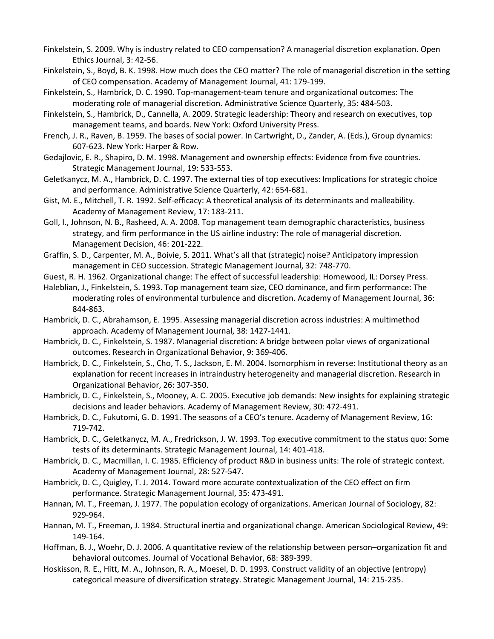- Finkelstein, S. 2009. Why is industry related to CEO compensation? A managerial discretion explanation. Open Ethics Journal, 3: 42-56.
- Finkelstein, S., Boyd, B. K. 1998. How much does the CEO matter? The role of managerial discretion in the setting of CEO compensation. Academy of Management Journal, 41: 179-199.
- Finkelstein, S., Hambrick, D. C. 1990. Top-management-team tenure and organizational outcomes: The moderating role of managerial discretion. Administrative Science Quarterly, 35: 484-503.
- Finkelstein, S., Hambrick, D., Cannella, A. 2009. Strategic leadership: Theory and research on executives, top management teams, and boards. New York: Oxford University Press.
- French, J. R., Raven, B. 1959. The bases of social power. In Cartwright, D., Zander, A. (Eds.), Group dynamics: 607-623. New York: Harper & Row.
- Gedajlovic, E. R., Shapiro, D. M. 1998. Management and ownership effects: Evidence from five countries. Strategic Management Journal, 19: 533-553.
- Geletkanycz, M. A., Hambrick, D. C. 1997. The external ties of top executives: Implications for strategic choice and performance. Administrative Science Quarterly, 42: 654-681.
- Gist, M. E., Mitchell, T. R. 1992. Self-efficacy: A theoretical analysis of its determinants and malleability. Academy of Management Review, 17: 183-211.
- Goll, I., Johnson, N. B., Rasheed, A. A. 2008. Top management team demographic characteristics, business strategy, and firm performance in the US airline industry: The role of managerial discretion. Management Decision, 46: 201-222.
- Graffin, S. D., Carpenter, M. A., Boivie, S. 2011. What's all that (strategic) noise? Anticipatory impression management in CEO succession. Strategic Management Journal, 32: 748-770.
- Guest, R. H. 1962. Organizational change: The effect of successful leadership: Homewood, IL: Dorsey Press.
- Haleblian, J., Finkelstein, S. 1993. Top management team size, CEO dominance, and firm performance: The moderating roles of environmental turbulence and discretion. Academy of Management Journal, 36: 844-863.
- Hambrick, D. C., Abrahamson, E. 1995. Assessing managerial discretion across industries: A multimethod approach. Academy of Management Journal, 38: 1427-1441.
- Hambrick, D. C., Finkelstein, S. 1987. Managerial discretion: A bridge between polar views of organizational outcomes. Research in Organizational Behavior, 9: 369-406.
- Hambrick, D. C., Finkelstein, S., Cho, T. S., Jackson, E. M. 2004. Isomorphism in reverse: Institutional theory as an explanation for recent increases in intraindustry heterogeneity and managerial discretion. Research in Organizational Behavior, 26: 307-350.
- Hambrick, D. C., Finkelstein, S., Mooney, A. C. 2005. Executive job demands: New insights for explaining strategic decisions and leader behaviors. Academy of Management Review, 30: 472-491.
- Hambrick, D. C., Fukutomi, G. D. 1991. The seasons of a CEO's tenure. Academy of Management Review, 16: 719-742.
- Hambrick, D. C., Geletkanycz, M. A., Fredrickson, J. W. 1993. Top executive commitment to the status quo: Some tests of its determinants. Strategic Management Journal, 14: 401-418.
- Hambrick, D. C., Macmillan, I. C. 1985. Efficiency of product R&D in business units: The role of strategic context. Academy of Management Journal, 28: 527-547.
- Hambrick, D. C., Quigley, T. J. 2014. Toward more accurate contextualization of the CEO effect on firm performance. Strategic Management Journal, 35: 473-491.
- Hannan, M. T., Freeman, J. 1977. The population ecology of organizations. American Journal of Sociology, 82: 929-964.
- Hannan, M. T., Freeman, J. 1984. Structural inertia and organizational change. American Sociological Review, 49: 149-164.
- Hoffman, B. J., Woehr, D. J. 2006. A quantitative review of the relationship between person–organization fit and behavioral outcomes. Journal of Vocational Behavior, 68: 389-399.
- Hoskisson, R. E., Hitt, M. A., Johnson, R. A., Moesel, D. D. 1993. Construct validity of an objective (entropy) categorical measure of diversification strategy. Strategic Management Journal, 14: 215-235.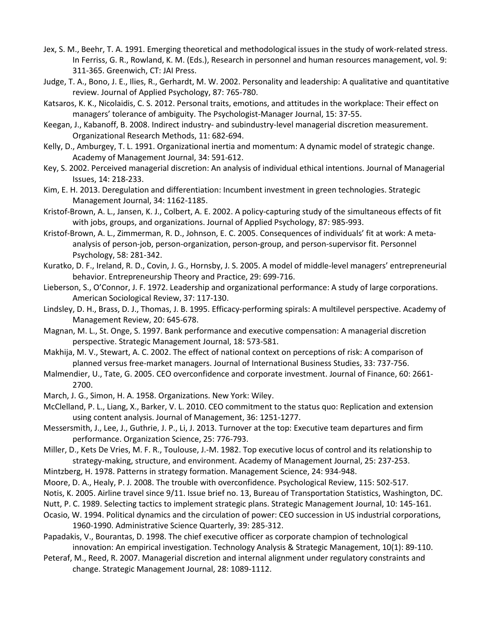- Jex, S. M., Beehr, T. A. 1991. Emerging theoretical and methodological issues in the study of work-related stress. In Ferriss, G. R., Rowland, K. M. (Eds.), Research in personnel and human resources management, vol. 9: 311-365. Greenwich, CT: JAI Press.
- Judge, T. A., Bono, J. E., Ilies, R., Gerhardt, M. W. 2002. Personality and leadership: A qualitative and quantitative review. Journal of Applied Psychology, 87: 765-780.
- Katsaros, K. K., Nicolaidis, C. S. 2012. Personal traits, emotions, and attitudes in the workplace: Their effect on managers' tolerance of ambiguity. The Psychologist-Manager Journal, 15: 37-55.
- Keegan, J., Kabanoff, B. 2008. Indirect industry- and subindustry-level managerial discretion measurement. Organizational Research Methods, 11: 682-694.
- Kelly, D., Amburgey, T. L. 1991. Organizational inertia and momentum: A dynamic model of strategic change. Academy of Management Journal, 34: 591-612.
- Key, S. 2002. Perceived managerial discretion: An analysis of individual ethical intentions. Journal of Managerial Issues, 14: 218-233.
- Kim, E. H. 2013. Deregulation and differentiation: Incumbent investment in green technologies. Strategic Management Journal, 34: 1162-1185.
- Kristof-Brown, A. L., Jansen, K. J., Colbert, A. E. 2002. A policy-capturing study of the simultaneous effects of fit with jobs, groups, and organizations. Journal of Applied Psychology, 87: 985-993.
- Kristof-Brown, A. L., Zimmerman, R. D., Johnson, E. C. 2005. Consequences of individuals' fit at work: A metaanalysis of person-job, person-organization, person-group, and person-supervisor fit. Personnel Psychology, 58: 281-342.
- Kuratko, D. F., Ireland, R. D., Covin, J. G., Hornsby, J. S. 2005. A model of middle-level managers' entrepreneurial behavior. Entrepreneurship Theory and Practice, 29: 699-716.
- Lieberson, S., O'Connor, J. F. 1972. Leadership and organizational performance: A study of large corporations. American Sociological Review, 37: 117-130.
- Lindsley, D. H., Brass, D. J., Thomas, J. B. 1995. Efficacy-performing spirals: A multilevel perspective. Academy of Management Review, 20: 645-678.
- Magnan, M. L., St. Onge, S. 1997. Bank performance and executive compensation: A managerial discretion perspective. Strategic Management Journal, 18: 573-581.
- Makhija, M. V., Stewart, A. C. 2002. The effect of national context on perceptions of risk: A comparison of planned versus free-market managers. Journal of International Business Studies, 33: 737-756.
- Malmendier, U., Tate, G. 2005. CEO overconfidence and corporate investment. Journal of Finance, 60: 2661- 2700.
- March, J. G., Simon, H. A. 1958. Organizations. New York: Wiley.
- McClelland, P. L., Liang, X., Barker, V. L. 2010. CEO commitment to the status quo: Replication and extension using content analysis. Journal of Management, 36: 1251-1277.
- Messersmith, J., Lee, J., Guthrie, J. P., Li, J. 2013. Turnover at the top: Executive team departures and firm performance. Organization Science, 25: 776-793.
- Miller, D., Kets De Vries, M. F. R., Toulouse, J.-M. 1982. Top executive locus of control and its relationship to strategy-making, structure, and environment. Academy of Management Journal, 25: 237-253.
- Mintzberg, H. 1978. Patterns in strategy formation. Management Science, 24: 934-948.
- Moore, D. A., Healy, P. J. 2008. The trouble with overconfidence. Psychological Review, 115: 502-517.
- Notis, K. 2005. Airline travel since 9/11. Issue brief no. 13, Bureau of Transportation Statistics, Washington, DC.
- Nutt, P. C. 1989. Selecting tactics to implement strategic plans. Strategic Management Journal, 10: 145-161.
- Ocasio, W. 1994. Political dynamics and the circulation of power: CEO succession in US industrial corporations, 1960-1990. Administrative Science Quarterly, 39: 285-312.
- Papadakis, V., Bourantas, D. 1998. The chief executive officer as corporate champion of technological innovation: An empirical investigation. Technology Analysis & Strategic Management, 10(1): 89-110.
- Peteraf, M., Reed, R. 2007. Managerial discretion and internal alignment under regulatory constraints and change. Strategic Management Journal, 28: 1089-1112.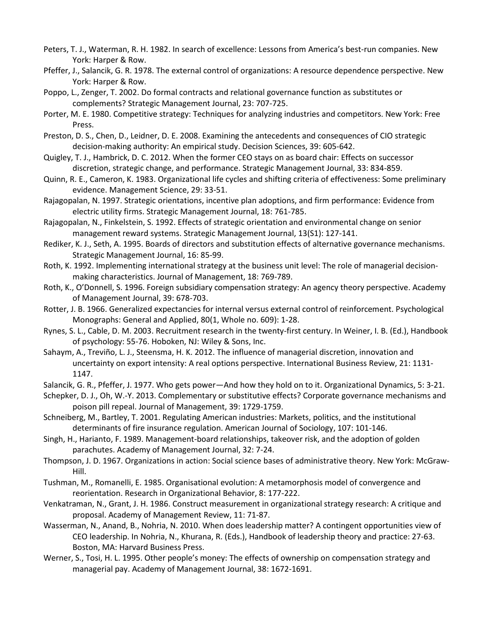- Peters, T. J., Waterman, R. H. 1982. In search of excellence: Lessons from America's best-run companies. New York: Harper & Row.
- Pfeffer, J., Salancik, G. R. 1978. The external control of organizations: A resource dependence perspective. New York: Harper & Row.
- Poppo, L., Zenger, T. 2002. Do formal contracts and relational governance function as substitutes or complements? Strategic Management Journal, 23: 707-725.
- Porter, M. E. 1980. Competitive strategy: Techniques for analyzing industries and competitors. New York: Free Press.
- Preston, D. S., Chen, D., Leidner, D. E. 2008. Examining the antecedents and consequences of CIO strategic decision-making authority: An empirical study. Decision Sciences, 39: 605-642.
- Quigley, T. J., Hambrick, D. C. 2012. When the former CEO stays on as board chair: Effects on successor discretion, strategic change, and performance. Strategic Management Journal, 33: 834-859.
- Quinn, R. E., Cameron, K. 1983. Organizational life cycles and shifting criteria of effectiveness: Some preliminary evidence. Management Science, 29: 33-51.
- Rajagopalan, N. 1997. Strategic orientations, incentive plan adoptions, and firm performance: Evidence from electric utility firms. Strategic Management Journal, 18: 761-785.
- Rajagopalan, N., Finkelstein, S. 1992. Effects of strategic orientation and environmental change on senior management reward systems. Strategic Management Journal, 13(S1): 127-141.
- Rediker, K. J., Seth, A. 1995. Boards of directors and substitution effects of alternative governance mechanisms. Strategic Management Journal, 16: 85-99.
- Roth, K. 1992. Implementing international strategy at the business unit level: The role of managerial decisionmaking characteristics. Journal of Management, 18: 769-789.
- Roth, K., O'Donnell, S. 1996. Foreign subsidiary compensation strategy: An agency theory perspective. Academy of Management Journal, 39: 678-703.
- Rotter, J. B. 1966. Generalized expectancies for internal versus external control of reinforcement. Psychological Monographs: General and Applied, 80(1, Whole no. 609): 1-28.
- Rynes, S. L., Cable, D. M. 2003. Recruitment research in the twenty-first century. In Weiner, I. B. (Ed.), Handbook of psychology: 55-76. Hoboken, NJ: Wiley & Sons, Inc.
- Sahaym, A., Treviño, L. J., Steensma, H. K. 2012. The influence of managerial discretion, innovation and uncertainty on export intensity: A real options perspective. International Business Review, 21: 1131- 1147.
- Salancik, G. R., Pfeffer, J. 1977. Who gets power—And how they hold on to it. Organizational Dynamics, 5: 3-21.
- Schepker, D. J., Oh, W.-Y. 2013. Complementary or substitutive effects? Corporate governance mechanisms and poison pill repeal. Journal of Management, 39: 1729-1759.
- Schneiberg, M., Bartley, T. 2001. Regulating American industries: Markets, politics, and the institutional determinants of fire insurance regulation. American Journal of Sociology, 107: 101-146.
- Singh, H., Harianto, F. 1989. Management-board relationships, takeover risk, and the adoption of golden parachutes. Academy of Management Journal, 32: 7-24.
- Thompson, J. D. 1967. Organizations in action: Social science bases of administrative theory. New York: McGraw-Hill.
- Tushman, M., Romanelli, E. 1985. Organisational evolution: A metamorphosis model of convergence and reorientation. Research in Organizational Behavior, 8: 177-222.
- Venkatraman, N., Grant, J. H. 1986. Construct measurement in organizational strategy research: A critique and proposal. Academy of Management Review, 11: 71-87.
- Wasserman, N., Anand, B., Nohria, N. 2010. When does leadership matter? A contingent opportunities view of CEO leadership. In Nohria, N., Khurana, R. (Eds.), Handbook of leadership theory and practice: 27-63. Boston, MA: Harvard Business Press.
- Werner, S., Tosi, H. L. 1995. Other people's money: The effects of ownership on compensation strategy and managerial pay. Academy of Management Journal, 38: 1672-1691.